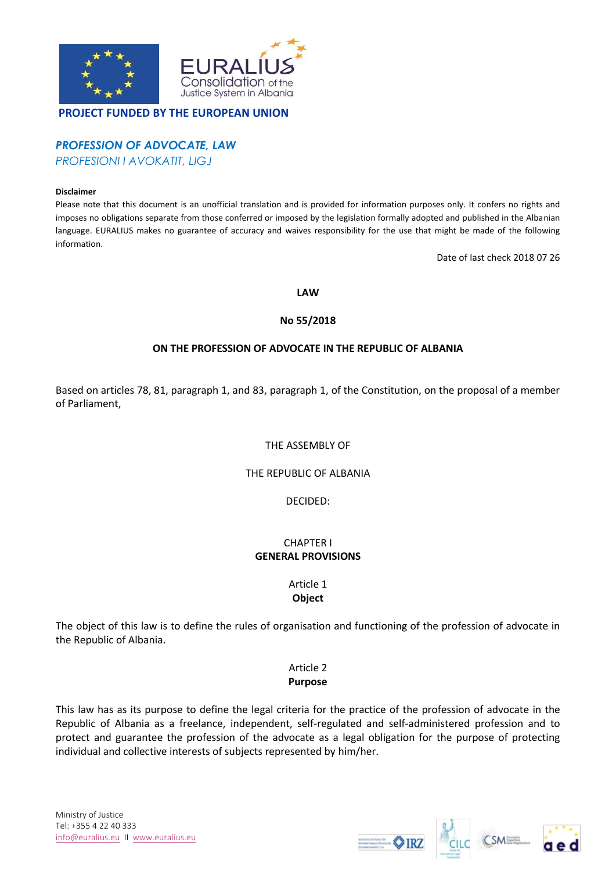

## **PROJECT FUNDED BY THE EUROPEAN UNION**

# *PROFESSION OF ADVOCATE, LAW*

*PROFESIONI I AVOKATIT, LIGJ*

#### **Disclaimer**

Please note that this document is an unofficial translation and is provided for information purposes only. It confers no rights and imposes no obligations separate from those conferred or imposed by the legislation formally adopted and published in the Albanian language. EURALIUS makes no guarantee of accuracy and waives responsibility for the use that might be made of the following information.

Date of last check 2018 07 26

#### **LAW**

### **No 55/2018**

# **ON THE PROFESSION OF ADVOCATE IN THE REPUBLIC OF ALBANIA**

Based on articles 78, 81, paragraph 1, and 83, paragraph 1, of the Constitution, on the proposal of a member of Parliament,

### THE ASSEMBLY OF

### THE REPUBLIC OF ALBANIA

DECIDED:

#### CHAPTER I **GENERAL PROVISIONS**

#### Article 1 **Object**

The object of this law is to define the rules of organisation and functioning of the profession of advocate in the Republic of Albania.

# Article 2 **Purpose**

This law has as its purpose to define the legal criteria for the practice of the profession of advocate in the Republic of Albania as a freelance, independent, self-regulated and self-administered profession and to protect and guarantee the profession of the advocate as a legal obligation for the purpose of protecting individual and collective interests of subjects represented by him/her.





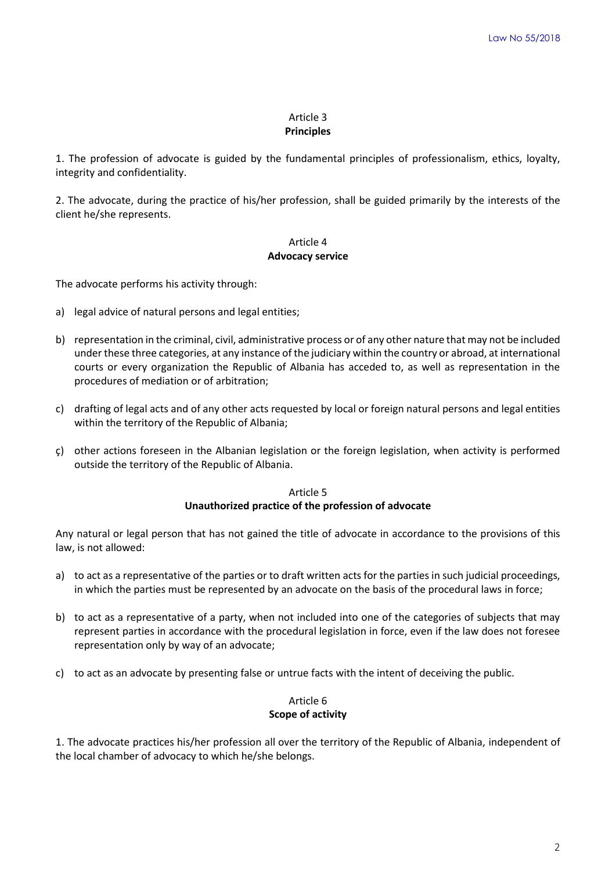#### Article 3 **Principles**

1. The profession of advocate is guided by the fundamental principles of professionalism, ethics, loyalty, integrity and confidentiality.

2. The advocate, during the practice of his/her profession, shall be guided primarily by the interests of the client he/she represents.

# Article 4 **Advocacy service**

The advocate performs his activity through:

- a) legal advice of natural persons and legal entities;
- b) representation in the criminal, civil, administrative process or of any other nature that may not be included under these three categories, at any instance of the judiciary within the country or abroad, at international courts or every organization the Republic of Albania has acceded to, as well as representation in the procedures of mediation or of arbitration;
- c) drafting of legal acts and of any other acts requested by local or foreign natural persons and legal entities within the territory of the Republic of Albania;
- ç) other actions foreseen in the Albanian legislation or the foreign legislation, when activity is performed outside the territory of the Republic of Albania.

Article 5 **Unauthorized practice of the profession of advocate**

Any natural or legal person that has not gained the title of advocate in accordance to the provisions of this law, is not allowed:

- a) to act as a representative of the parties or to draft written acts for the parties in such judicial proceedings, in which the parties must be represented by an advocate on the basis of the procedural laws in force;
- b) to act as a representative of a party, when not included into one of the categories of subjects that may represent parties in accordance with the procedural legislation in force, even if the law does not foresee representation only by way of an advocate;
- c) to act as an advocate by presenting false or untrue facts with the intent of deceiving the public.

# Article 6 **Scope of activity**

1. The advocate practices his/her profession all over the territory of the Republic of Albania, independent of the local chamber of advocacy to which he/she belongs.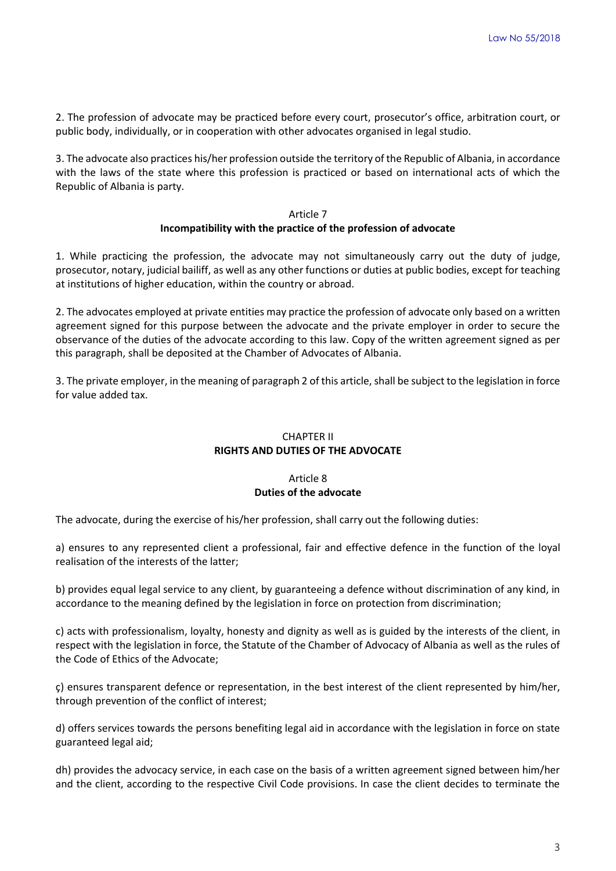2. The profession of advocate may be practiced before every court, prosecutor's office, arbitration court, or public body, individually, or in cooperation with other advocates organised in legal studio.

3. The advocate also practices his/her profession outside the territory of the Republic of Albania, in accordance with the laws of the state where this profession is practiced or based on international acts of which the Republic of Albania is party.

### Article 7 **Incompatibility with the practice of the profession of advocate**

1. While practicing the profession, the advocate may not simultaneously carry out the duty of judge, prosecutor, notary, judicial bailiff, as well as any other functions or duties at public bodies, except for teaching at institutions of higher education, within the country or abroad.

2. The advocates employed at private entities may practice the profession of advocate only based on a written agreement signed for this purpose between the advocate and the private employer in order to secure the observance of the duties of the advocate according to this law. Copy of the written agreement signed as per this paragraph, shall be deposited at the Chamber of Advocates of Albania.

3. The private employer, in the meaning of paragraph 2 of this article, shall be subject to the legislation in force for value added tax.

# CHAPTER II **RIGHTS AND DUTIES OF THE ADVOCATE**

# Article 8 **Duties of the advocate**

The advocate, during the exercise of his/her profession, shall carry out the following duties:

a) ensures to any represented client a professional, fair and effective defence in the function of the loyal realisation of the interests of the latter;

b) provides equal legal service to any client, by guaranteeing a defence without discrimination of any kind, in accordance to the meaning defined by the legislation in force on protection from discrimination;

c) acts with professionalism, loyalty, honesty and dignity as well as is guided by the interests of the client, in respect with the legislation in force, the Statute of the Chamber of Advocacy of Albania as well as the rules of the Code of Ethics of the Advocate;

ç) ensures transparent defence or representation, in the best interest of the client represented by him/her, through prevention of the conflict of interest;

d) offers services towards the persons benefiting legal aid in accordance with the legislation in force on state guaranteed legal aid;

dh) provides the advocacy service, in each case on the basis of a written agreement signed between him/her and the client, according to the respective Civil Code provisions. In case the client decides to terminate the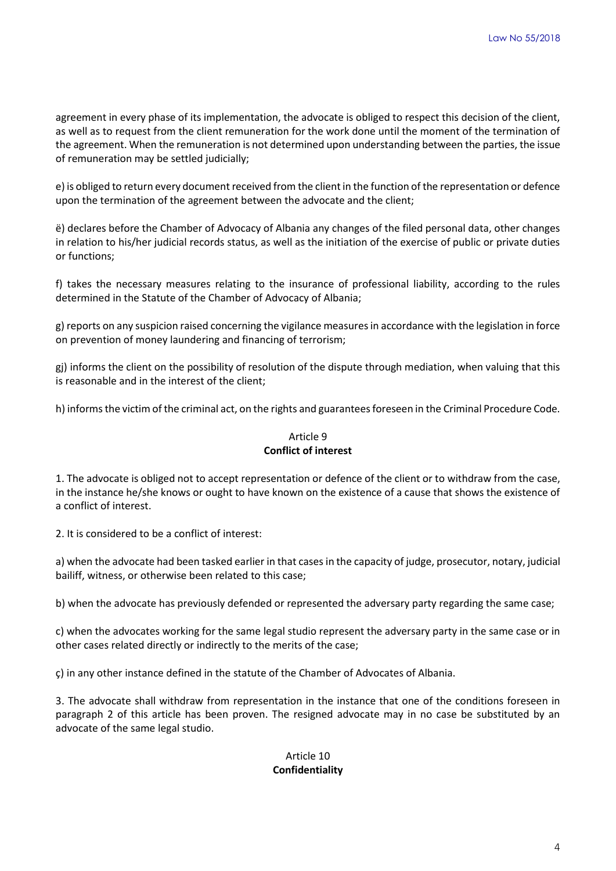agreement in every phase of its implementation, the advocate is obliged to respect this decision of the client, as well as to request from the client remuneration for the work done until the moment of the termination of the agreement. When the remuneration is not determined upon understanding between the parties, the issue of remuneration may be settled judicially;

e) is obliged to return every document received from the client in the function of the representation or defence upon the termination of the agreement between the advocate and the client;

ë) declares before the Chamber of Advocacy of Albania any changes of the filed personal data, other changes in relation to his/her judicial records status, as well as the initiation of the exercise of public or private duties or functions;

f) takes the necessary measures relating to the insurance of professional liability, according to the rules determined in the Statute of the Chamber of Advocacy of Albania;

g) reports on any suspicion raised concerning the vigilance measures in accordance with the legislation in force on prevention of money laundering and financing of terrorism;

gj) informs the client on the possibility of resolution of the dispute through mediation, when valuing that this is reasonable and in the interest of the client;

h) informs the victim of the criminal act, on the rights and guarantees foreseen in the Criminal Procedure Code.

# Article 9 **Conflict of interest**

1. The advocate is obliged not to accept representation or defence of the client or to withdraw from the case, in the instance he/she knows or ought to have known on the existence of a cause that shows the existence of a conflict of interest.

2. It is considered to be a conflict of interest:

a) when the advocate had been tasked earlier in that cases in the capacity of judge, prosecutor, notary, judicial bailiff, witness, or otherwise been related to this case;

b) when the advocate has previously defended or represented the adversary party regarding the same case;

c) when the advocates working for the same legal studio represent the adversary party in the same case or in other cases related directly or indirectly to the merits of the case;

ç) in any other instance defined in the statute of the Chamber of Advocates of Albania.

3. The advocate shall withdraw from representation in the instance that one of the conditions foreseen in paragraph 2 of this article has been proven. The resigned advocate may in no case be substituted by an advocate of the same legal studio.

# Article 10 **Confidentiality**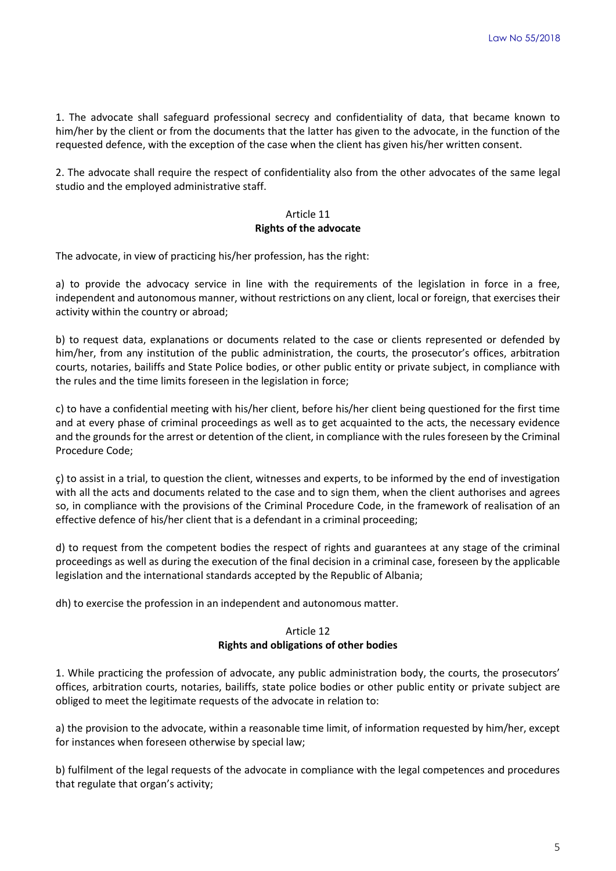1. The advocate shall safeguard professional secrecy and confidentiality of data, that became known to him/her by the client or from the documents that the latter has given to the advocate, in the function of the requested defence, with the exception of the case when the client has given his/her written consent.

2. The advocate shall require the respect of confidentiality also from the other advocates of the same legal studio and the employed administrative staff.

### Article 11 **Rights of the advocate**

The advocate, in view of practicing his/her profession, has the right:

a) to provide the advocacy service in line with the requirements of the legislation in force in a free, independent and autonomous manner, without restrictions on any client, local or foreign, that exercises their activity within the country or abroad;

b) to request data, explanations or documents related to the case or clients represented or defended by him/her, from any institution of the public administration, the courts, the prosecutor's offices, arbitration courts, notaries, bailiffs and State Police bodies, or other public entity or private subject, in compliance with the rules and the time limits foreseen in the legislation in force;

c) to have a confidential meeting with his/her client, before his/her client being questioned for the first time and at every phase of criminal proceedings as well as to get acquainted to the acts, the necessary evidence and the grounds for the arrest or detention of the client, in compliance with the rules foreseen by the Criminal Procedure Code;

ç) to assist in a trial, to question the client, witnesses and experts, to be informed by the end of investigation with all the acts and documents related to the case and to sign them, when the client authorises and agrees so, in compliance with the provisions of the Criminal Procedure Code, in the framework of realisation of an effective defence of his/her client that is a defendant in a criminal proceeding;

d) to request from the competent bodies the respect of rights and guarantees at any stage of the criminal proceedings as well as during the execution of the final decision in a criminal case, foreseen by the applicable legislation and the international standards accepted by the Republic of Albania;

dh) to exercise the profession in an independent and autonomous matter.

# Article 12 **Rights and obligations of other bodies**

1. While practicing the profession of advocate, any public administration body, the courts, the prosecutors' offices, arbitration courts, notaries, bailiffs, state police bodies or other public entity or private subject are obliged to meet the legitimate requests of the advocate in relation to:

a) the provision to the advocate, within a reasonable time limit, of information requested by him/her, except for instances when foreseen otherwise by special law;

b) fulfilment of the legal requests of the advocate in compliance with the legal competences and procedures that regulate that organ's activity;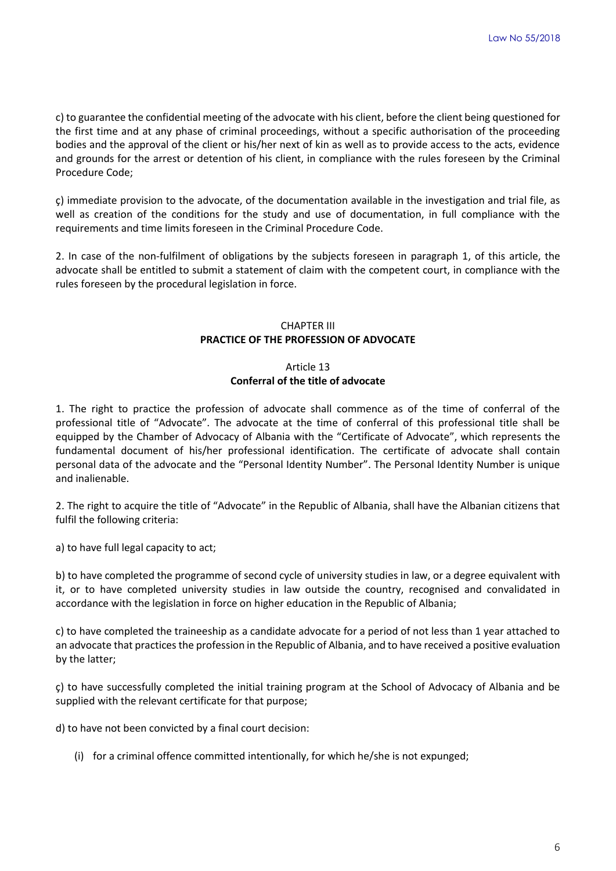c) to guarantee the confidential meeting of the advocate with his client, before the client being questioned for the first time and at any phase of criminal proceedings, without a specific authorisation of the proceeding bodies and the approval of the client or his/her next of kin as well as to provide access to the acts, evidence and grounds for the arrest or detention of his client, in compliance with the rules foreseen by the Criminal Procedure Code;

ç) immediate provision to the advocate, of the documentation available in the investigation and trial file, as well as creation of the conditions for the study and use of documentation, in full compliance with the requirements and time limits foreseen in the Criminal Procedure Code.

2. In case of the non-fulfilment of obligations by the subjects foreseen in paragraph 1, of this article, the advocate shall be entitled to submit a statement of claim with the competent court, in compliance with the rules foreseen by the procedural legislation in force.

# CHAPTER III **PRACTICE OF THE PROFESSION OF ADVOCATE**

# Article 13 **Conferral of the title of advocate**

1. The right to practice the profession of advocate shall commence as of the time of conferral of the professional title of "Advocate". The advocate at the time of conferral of this professional title shall be equipped by the Chamber of Advocacy of Albania with the "Certificate of Advocate", which represents the fundamental document of his/her professional identification. The certificate of advocate shall contain personal data of the advocate and the "Personal Identity Number". The Personal Identity Number is unique and inalienable.

2. The right to acquire the title of "Advocate" in the Republic of Albania, shall have the Albanian citizens that fulfil the following criteria:

a) to have full legal capacity to act;

b) to have completed the programme of second cycle of university studies in law, or a degree equivalent with it, or to have completed university studies in law outside the country, recognised and convalidated in accordance with the legislation in force on higher education in the Republic of Albania;

c) to have completed the traineeship as a candidate advocate for a period of not less than 1 year attached to an advocate that practices the profession in the Republic of Albania, and to have received a positive evaluation by the latter;

ç) to have successfully completed the initial training program at the School of Advocacy of Albania and be supplied with the relevant certificate for that purpose;

d) to have not been convicted by a final court decision:

(i) for a criminal offence committed intentionally, for which he/she is not expunged;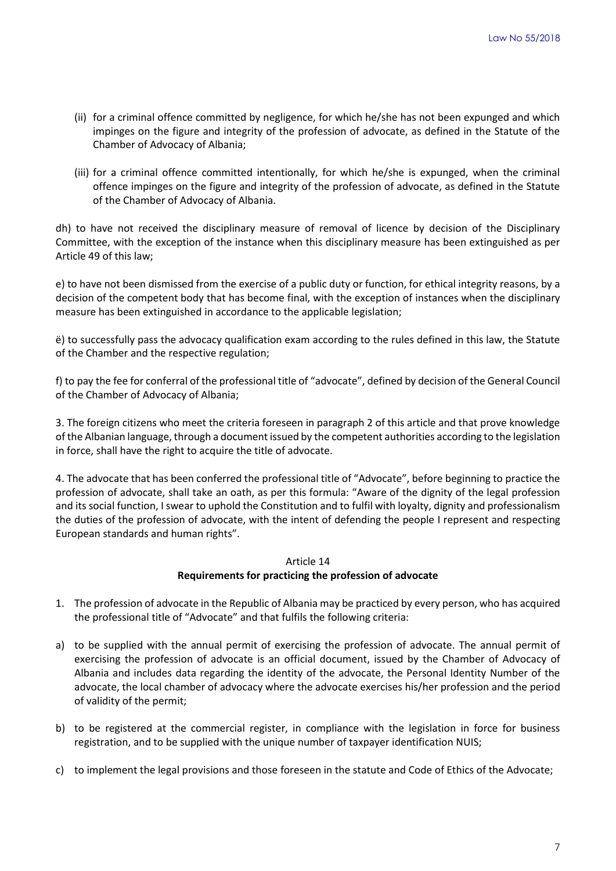- (ii) for a criminal offence committed by negligence, for which he/she has not been expunged and which impinges on the figure and integrity of the profession of advocate, as defined in the Statute of the Chamber of Advocacy of Albania;
- (iii) for a criminal offence committed intentionally, for which he/she is expunged, when the criminal offence impinges on the figure and integrity of the profession of advocate, as defined in the Statute of the Chamber of Advocacy of Albania.

dh) to have not received the disciplinary measure of removal of licence by decision of the Disciplinary Committee, with the exception of the instance when this disciplinary measure has been extinguished as per Article 49 of this law;

e) to have not been dismissed from the exercise of a public duty or function, for ethical integrity reasons, by a decision of the competent body that has become final, with the exception of instances when the disciplinary measure has been extinguished in accordance to the applicable legislation;

ë) to successfully pass the advocacy qualification exam according to the rules defined in this law, the Statute of the Chamber and the respective regulation;

f) to pay the fee for conferral of the professional title of "advocate", defined by decision of the General Council of the Chamber of Advocacy of Albania;

3. The foreign citizens who meet the criteria foreseen in paragraph 2 of this article and that prove knowledge of the Albanian language, through a document issued by the competent authorities according to the legislation in force, shall have the right to acquire the title of advocate.

4. The advocate that has been conferred the professional title of "Advocate", before beginning to practice the profession of advocate, shall take an oath, as per this formula: "Aware of the dignity of the legal profession and its social function, I swear to uphold the Constitution and to fulfil with loyalty, dignity and professionalism the duties of the profession of advocate, with the intent of defending the people I represent and respecting European standards and human rights".

# Article 14 **Requirements for practicing the profession of advocate**

- 1. The profession of advocate in the Republic of Albania may be practiced by every person, who has acquired the professional title of "Advocate" and that fulfils the following criteria:
- a) to be supplied with the annual permit of exercising the profession of advocate. The annual permit of exercising the profession of advocate is an official document, issued by the Chamber of Advocacy of Albania and includes data regarding the identity of the advocate, the Personal Identity Number of the advocate, the local chamber of advocacy where the advocate exercises his/her profession and the period of validity of the permit;
- b) to be registered at the commercial register, in compliance with the legislation in force for business registration, and to be supplied with the unique number of taxpayer identification NUIS;
- c) to implement the legal provisions and those foreseen in the statute and Code of Ethics of the Advocate;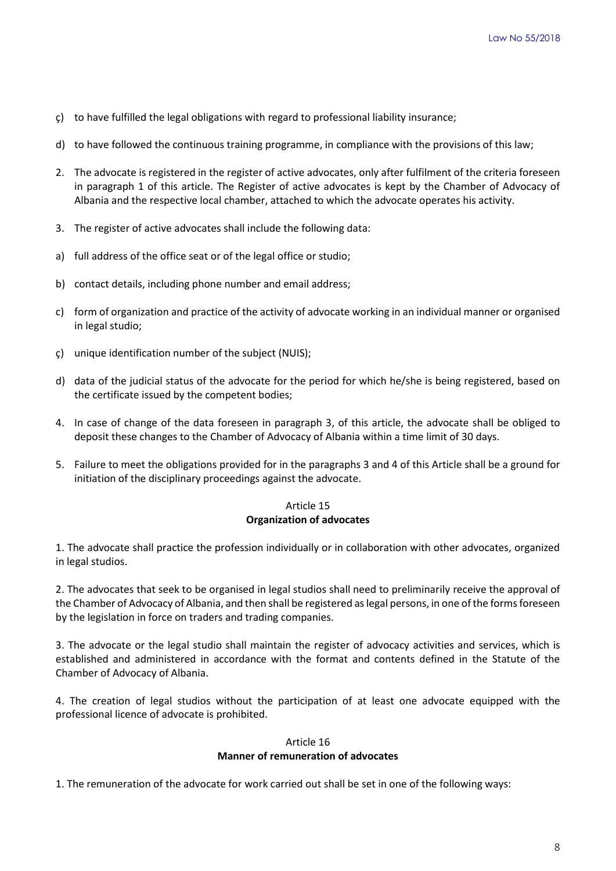- ç) to have fulfilled the legal obligations with regard to professional liability insurance;
- d) to have followed the continuous training programme, in compliance with the provisions of this law;
- 2. The advocate is registered in the register of active advocates, only after fulfilment of the criteria foreseen in paragraph 1 of this article. The Register of active advocates is kept by the Chamber of Advocacy of Albania and the respective local chamber, attached to which the advocate operates his activity.
- 3. The register of active advocates shall include the following data:
- a) full address of the office seat or of the legal office or studio;
- b) contact details, including phone number and email address;
- c) form of organization and practice of the activity of advocate working in an individual manner or organised in legal studio;
- ç) unique identification number of the subject (NUIS);
- d) data of the judicial status of the advocate for the period for which he/she is being registered, based on the certificate issued by the competent bodies;
- 4. In case of change of the data foreseen in paragraph 3, of this article, the advocate shall be obliged to deposit these changes to the Chamber of Advocacy of Albania within a time limit of 30 days.
- 5. Failure to meet the obligations provided for in the paragraphs 3 and 4 of this Article shall be a ground for initiation of the disciplinary proceedings against the advocate.

## Article 15 **Organization of advocates**

1. The advocate shall practice the profession individually or in collaboration with other advocates, organized in legal studios.

2. The advocates that seek to be organised in legal studios shall need to preliminarily receive the approval of the Chamber of Advocacy of Albania, and then shall be registered as legal persons, in one of the forms foreseen by the legislation in force on traders and trading companies.

3. The advocate or the legal studio shall maintain the register of advocacy activities and services, which is established and administered in accordance with the format and contents defined in the Statute of the Chamber of Advocacy of Albania.

4. The creation of legal studios without the participation of at least one advocate equipped with the professional licence of advocate is prohibited.

# Article 16 **Manner of remuneration of advocates**

1. The remuneration of the advocate for work carried out shall be set in one of the following ways: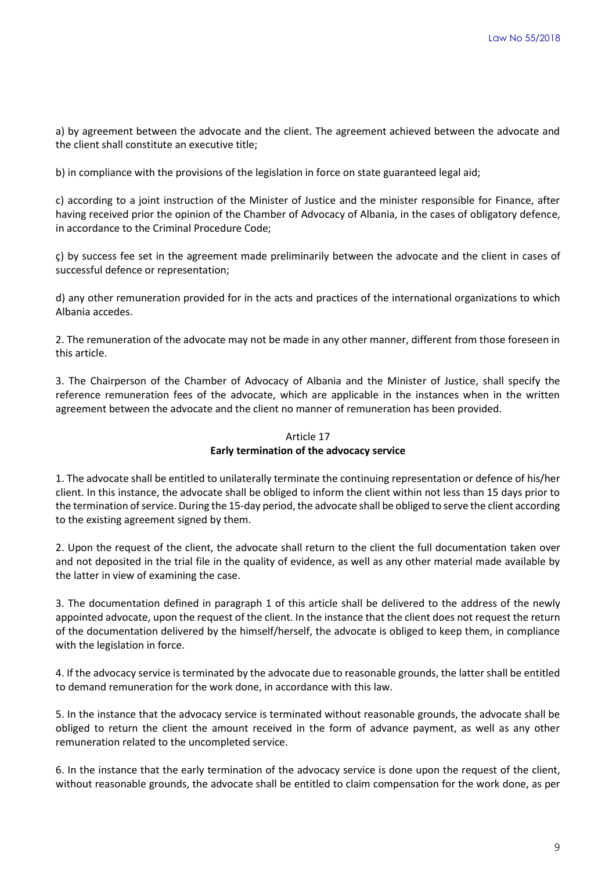a) by agreement between the advocate and the client. The agreement achieved between the advocate and the client shall constitute an executive title;

b) in compliance with the provisions of the legislation in force on state guaranteed legal aid;

c) according to a joint instruction of the Minister of Justice and the minister responsible for Finance, after having received prior the opinion of the Chamber of Advocacy of Albania, in the cases of obligatory defence, in accordance to the Criminal Procedure Code;

ç) by success fee set in the agreement made preliminarily between the advocate and the client in cases of successful defence or representation;

d) any other remuneration provided for in the acts and practices of the international organizations to which Albania accedes.

2. The remuneration of the advocate may not be made in any other manner, different from those foreseen in this article.

3. The Chairperson of the Chamber of Advocacy of Albania and the Minister of Justice, shall specify the reference remuneration fees of the advocate, which are applicable in the instances when in the written agreement between the advocate and the client no manner of remuneration has been provided.

# Article 17 **Early termination of the advocacy service**

1. The advocate shall be entitled to unilaterally terminate the continuing representation or defence of his/her client. In this instance, the advocate shall be obliged to inform the client within not less than 15 days prior to the termination of service. During the 15-day period, the advocate shall be obliged to serve the client according to the existing agreement signed by them.

2. Upon the request of the client, the advocate shall return to the client the full documentation taken over and not deposited in the trial file in the quality of evidence, as well as any other material made available by the latter in view of examining the case.

3. The documentation defined in paragraph 1 of this article shall be delivered to the address of the newly appointed advocate, upon the request of the client. In the instance that the client does not request the return of the documentation delivered by the himself/herself, the advocate is obliged to keep them, in compliance with the legislation in force.

4. If the advocacy service is terminated by the advocate due to reasonable grounds, the latter shall be entitled to demand remuneration for the work done, in accordance with this law.

5. In the instance that the advocacy service is terminated without reasonable grounds, the advocate shall be obliged to return the client the amount received in the form of advance payment, as well as any other remuneration related to the uncompleted service.

6. In the instance that the early termination of the advocacy service is done upon the request of the client, without reasonable grounds, the advocate shall be entitled to claim compensation for the work done, as per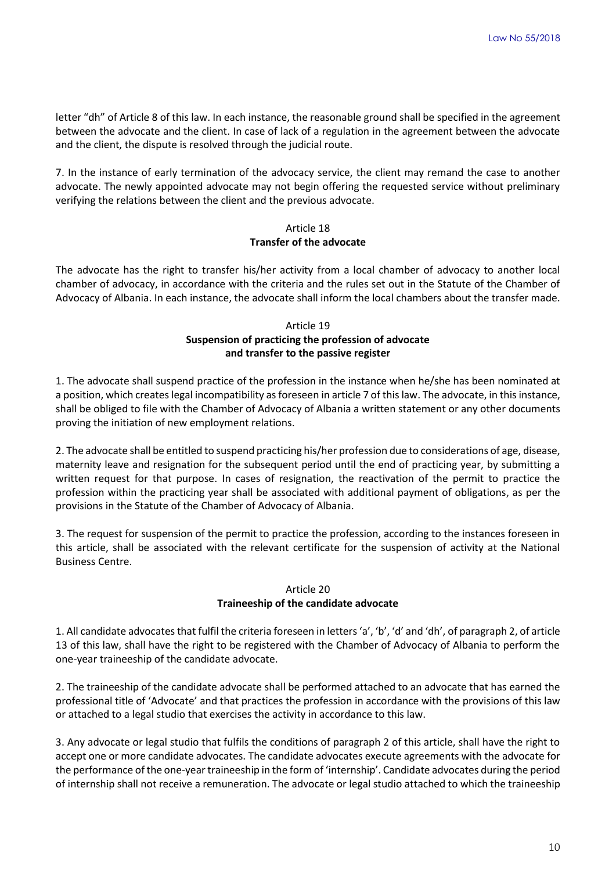letter "dh" of Article 8 of this law. In each instance, the reasonable ground shall be specified in the agreement between the advocate and the client. In case of lack of a regulation in the agreement between the advocate and the client, the dispute is resolved through the judicial route.

7. In the instance of early termination of the advocacy service, the client may remand the case to another advocate. The newly appointed advocate may not begin offering the requested service without preliminary verifying the relations between the client and the previous advocate.

# Article 18 **Transfer of the advocate**

The advocate has the right to transfer his/her activity from a local chamber of advocacy to another local chamber of advocacy, in accordance with the criteria and the rules set out in the Statute of the Chamber of Advocacy of Albania. In each instance, the advocate shall inform the local chambers about the transfer made.

# Article 19 **Suspension of practicing the profession of advocate and transfer to the passive register**

1. The advocate shall suspend practice of the profession in the instance when he/she has been nominated at a position, which creates legal incompatibility as foreseen in article 7 of this law. The advocate, in this instance, shall be obliged to file with the Chamber of Advocacy of Albania a written statement or any other documents proving the initiation of new employment relations.

2. The advocate shall be entitled to suspend practicing his/her profession due to considerations of age, disease, maternity leave and resignation for the subsequent period until the end of practicing year, by submitting a written request for that purpose. In cases of resignation, the reactivation of the permit to practice the profession within the practicing year shall be associated with additional payment of obligations, as per the provisions in the Statute of the Chamber of Advocacy of Albania.

3. The request for suspension of the permit to practice the profession, according to the instances foreseen in this article, shall be associated with the relevant certificate for the suspension of activity at the National Business Centre.

# Article 20 **Traineeship of the candidate advocate**

1. All candidate advocates that fulfil the criteria foreseen in letters 'a', 'b', 'd' and 'dh', of paragraph 2, of article 13 of this law, shall have the right to be registered with the Chamber of Advocacy of Albania to perform the one-year traineeship of the candidate advocate.

2. The traineeship of the candidate advocate shall be performed attached to an advocate that has earned the professional title of 'Advocate' and that practices the profession in accordance with the provisions of this law or attached to a legal studio that exercises the activity in accordance to this law.

3. Any advocate or legal studio that fulfils the conditions of paragraph 2 of this article, shall have the right to accept one or more candidate advocates. The candidate advocates execute agreements with the advocate for the performance of the one-year traineeship in the form of 'internship'. Candidate advocates during the period of internship shall not receive a remuneration. The advocate or legal studio attached to which the traineeship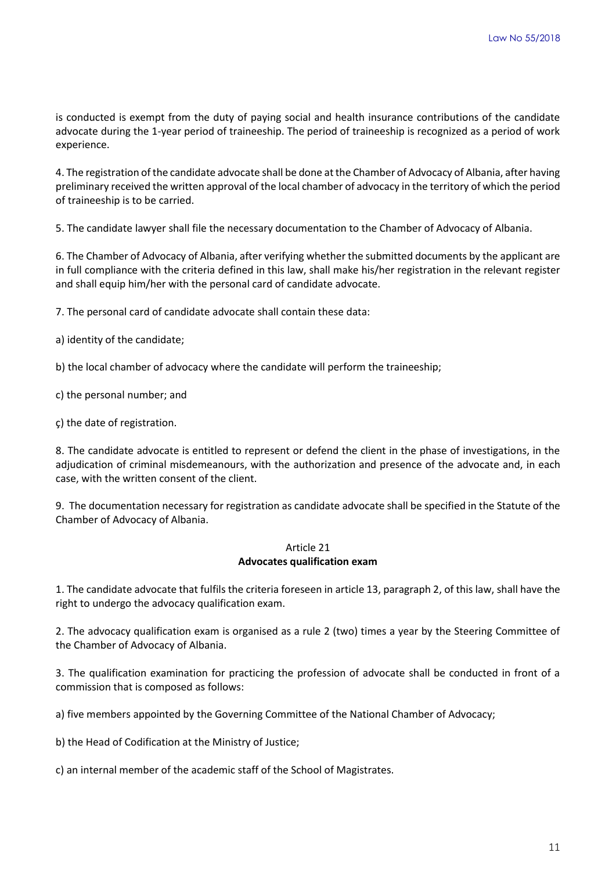is conducted is exempt from the duty of paying social and health insurance contributions of the candidate advocate during the 1-year period of traineeship. The period of traineeship is recognized as a period of work experience.

4. The registration of the candidate advocate shall be done at the Chamber of Advocacy of Albania, after having preliminary received the written approval of the local chamber of advocacy in the territory of which the period of traineeship is to be carried.

5. The candidate lawyer shall file the necessary documentation to the Chamber of Advocacy of Albania.

6. The Chamber of Advocacy of Albania, after verifying whether the submitted documents by the applicant are in full compliance with the criteria defined in this law, shall make his/her registration in the relevant register and shall equip him/her with the personal card of candidate advocate.

7. The personal card of candidate advocate shall contain these data:

- a) identity of the candidate;
- b) the local chamber of advocacy where the candidate will perform the traineeship;
- c) the personal number; and
- ç) the date of registration.

8. The candidate advocate is entitled to represent or defend the client in the phase of investigations, in the adjudication of criminal misdemeanours, with the authorization and presence of the advocate and, in each case, with the written consent of the client.

9. The documentation necessary for registration as candidate advocate shall be specified in the Statute of the Chamber of Advocacy of Albania.

#### Article 21 **Advocates qualification exam**

1. The candidate advocate that fulfils the criteria foreseen in article 13, paragraph 2, of this law, shall have the right to undergo the advocacy qualification exam.

2. The advocacy qualification exam is organised as a rule 2 (two) times a year by the Steering Committee of the Chamber of Advocacy of Albania.

3. The qualification examination for practicing the profession of advocate shall be conducted in front of a commission that is composed as follows:

a) five members appointed by the Governing Committee of the National Chamber of Advocacy;

b) the Head of Codification at the Ministry of Justice;

c) an internal member of the academic staff of the School of Magistrates.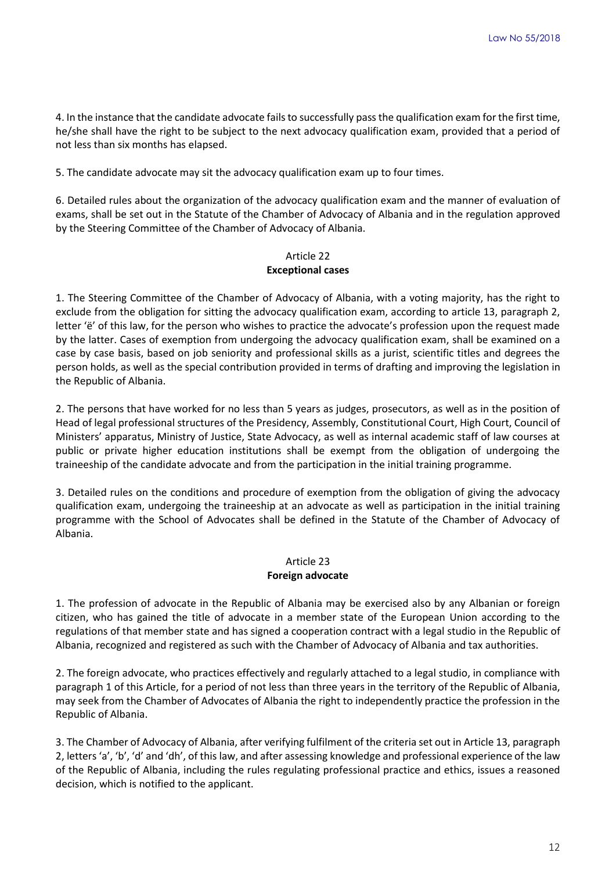4. In the instance that the candidate advocate fails to successfully pass the qualification exam for the first time, he/she shall have the right to be subject to the next advocacy qualification exam, provided that a period of not less than six months has elapsed.

5. The candidate advocate may sit the advocacy qualification exam up to four times.

6. Detailed rules about the organization of the advocacy qualification exam and the manner of evaluation of exams, shall be set out in the Statute of the Chamber of Advocacy of Albania and in the regulation approved by the Steering Committee of the Chamber of Advocacy of Albania.

# Article 22 **Exceptional cases**

1. The Steering Committee of the Chamber of Advocacy of Albania, with a voting majority, has the right to exclude from the obligation for sitting the advocacy qualification exam, according to article 13, paragraph 2, letter 'ë' of this law, for the person who wishes to practice the advocate's profession upon the request made by the latter. Cases of exemption from undergoing the advocacy qualification exam, shall be examined on a case by case basis, based on job seniority and professional skills as a jurist, scientific titles and degrees the person holds, as well as the special contribution provided in terms of drafting and improving the legislation in the Republic of Albania.

2. The persons that have worked for no less than 5 years as judges, prosecutors, as well as in the position of Head of legal professional structures of the Presidency, Assembly, Constitutional Court, High Court, Council of Ministers' apparatus, Ministry of Justice, State Advocacy, as well as internal academic staff of law courses at public or private higher education institutions shall be exempt from the obligation of undergoing the traineeship of the candidate advocate and from the participation in the initial training programme.

3. Detailed rules on the conditions and procedure of exemption from the obligation of giving the advocacy qualification exam, undergoing the traineeship at an advocate as well as participation in the initial training programme with the School of Advocates shall be defined in the Statute of the Chamber of Advocacy of Albania.

# Article 23 **Foreign advocate**

1. The profession of advocate in the Republic of Albania may be exercised also by any Albanian or foreign citizen, who has gained the title of advocate in a member state of the European Union according to the regulations of that member state and has signed a cooperation contract with a legal studio in the Republic of Albania, recognized and registered as such with the Chamber of Advocacy of Albania and tax authorities.

2. The foreign advocate, who practices effectively and regularly attached to a legal studio, in compliance with paragraph 1 of this Article, for a period of not less than three years in the territory of the Republic of Albania, may seek from the Chamber of Advocates of Albania the right to independently practice the profession in the Republic of Albania.

3. The Chamber of Advocacy of Albania, after verifying fulfilment of the criteria set out in Article 13, paragraph 2, letters 'a', 'b', 'd' and 'dh', of this law, and after assessing knowledge and professional experience of the law of the Republic of Albania, including the rules regulating professional practice and ethics, issues a reasoned decision, which is notified to the applicant.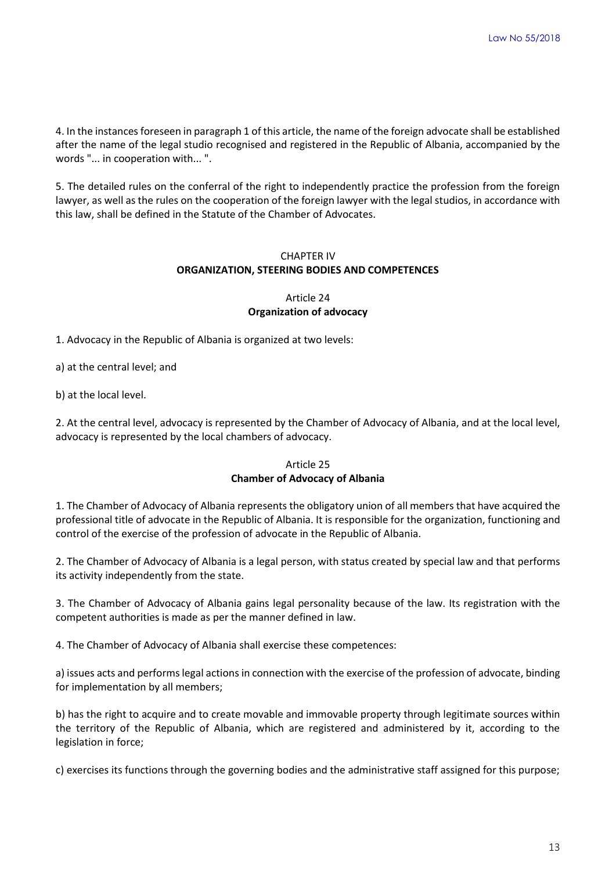4. In the instances foreseen in paragraph 1 of this article, the name of the foreign advocate shall be established after the name of the legal studio recognised and registered in the Republic of Albania, accompanied by the words "... in cooperation with... ".

5. The detailed rules on the conferral of the right to independently practice the profession from the foreign lawyer, as well as the rules on the cooperation of the foreign lawyer with the legal studios, in accordance with this law, shall be defined in the Statute of the Chamber of Advocates.

# CHAPTER IV **ORGANIZATION, STEERING BODIES AND COMPETENCES**

### Article 24 **Organization of advocacy**

1. Advocacy in the Republic of Albania is organized at two levels:

a) at the central level; and

b) at the local level.

2. At the central level, advocacy is represented by the Chamber of Advocacy of Albania, and at the local level, advocacy is represented by the local chambers of advocacy.

### Article 25 **Chamber of Advocacy of Albania**

1. The Chamber of Advocacy of Albania represents the obligatory union of all members that have acquired the professional title of advocate in the Republic of Albania. It is responsible for the organization, functioning and control of the exercise of the profession of advocate in the Republic of Albania.

2. The Chamber of Advocacy of Albania is a legal person, with status created by special law and that performs its activity independently from the state.

3. The Chamber of Advocacy of Albania gains legal personality because of the law. Its registration with the competent authorities is made as per the manner defined in law.

4. The Chamber of Advocacy of Albania shall exercise these competences:

a) issues acts and performs legal actions in connection with the exercise of the profession of advocate, binding for implementation by all members;

b) has the right to acquire and to create movable and immovable property through legitimate sources within the territory of the Republic of Albania, which are registered and administered by it, according to the legislation in force;

c) exercises its functions through the governing bodies and the administrative staff assigned for this purpose;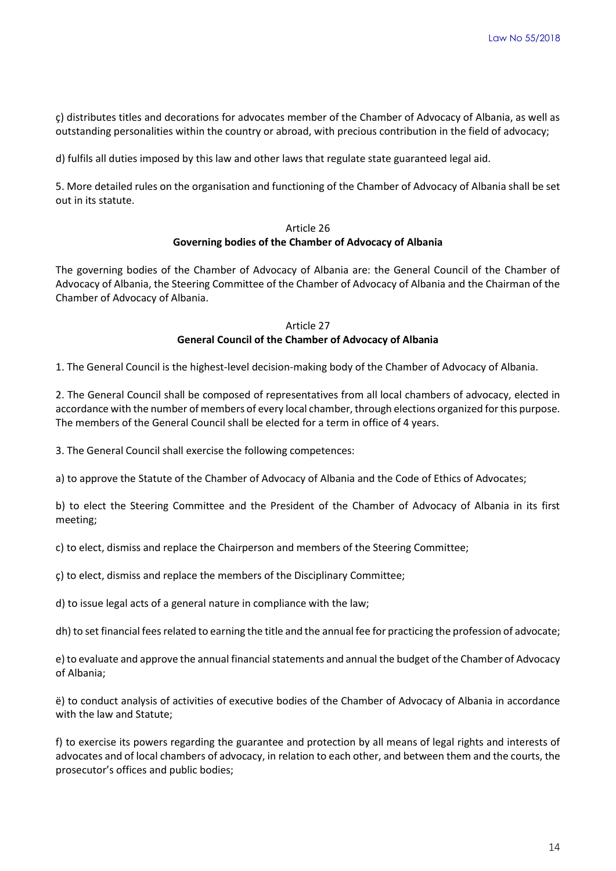ç) distributes titles and decorations for advocates member of the Chamber of Advocacy of Albania, as well as outstanding personalities within the country or abroad, with precious contribution in the field of advocacy;

d) fulfils all duties imposed by this law and other laws that regulate state guaranteed legal aid.

5. More detailed rules on the organisation and functioning of the Chamber of Advocacy of Albania shall be set out in its statute.

### Article 26 **Governing bodies of the Chamber of Advocacy of Albania**

The governing bodies of the Chamber of Advocacy of Albania are: the General Council of the Chamber of Advocacy of Albania, the Steering Committee of the Chamber of Advocacy of Albania and the Chairman of the Chamber of Advocacy of Albania.

### Article 27 **General Council of the Chamber of Advocacy of Albania**

1. The General Council is the highest-level decision-making body of the Chamber of Advocacy of Albania.

2. The General Council shall be composed of representatives from all local chambers of advocacy, elected in accordance with the number of members of every local chamber, through elections organized for this purpose. The members of the General Council shall be elected for a term in office of 4 years.

3. The General Council shall exercise the following competences:

a) to approve the Statute of the Chamber of Advocacy of Albania and the Code of Ethics of Advocates;

b) to elect the Steering Committee and the President of the Chamber of Advocacy of Albania in its first meeting;

c) to elect, dismiss and replace the Chairperson and members of the Steering Committee;

ç) to elect, dismiss and replace the members of the Disciplinary Committee;

d) to issue legal acts of a general nature in compliance with the law;

dh) to set financial fees related to earning the title and the annual fee for practicing the profession of advocate;

e) to evaluate and approve the annual financial statements and annual the budget of the Chamber of Advocacy of Albania;

ë) to conduct analysis of activities of executive bodies of the Chamber of Advocacy of Albania in accordance with the law and Statute;

f) to exercise its powers regarding the guarantee and protection by all means of legal rights and interests of advocates and of local chambers of advocacy, in relation to each other, and between them and the courts, the prosecutor's offices and public bodies;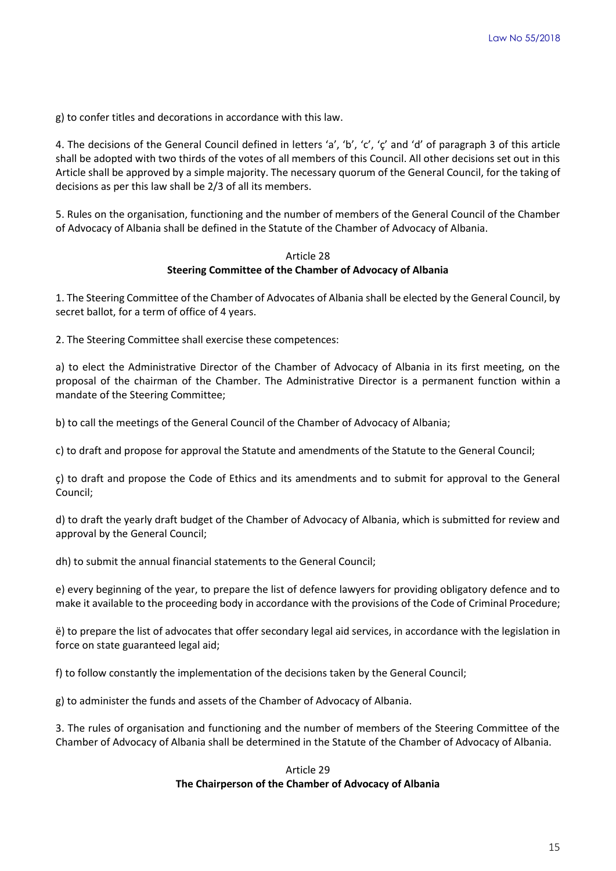g) to confer titles and decorations in accordance with this law.

4. The decisions of the General Council defined in letters 'a', 'b', 'c', 'ç' and 'd' of paragraph 3 of this article shall be adopted with two thirds of the votes of all members of this Council. All other decisions set out in this Article shall be approved by a simple majority. The necessary quorum of the General Council, for the taking of decisions as per this law shall be 2/3 of all its members.

5. Rules on the organisation, functioning and the number of members of the General Council of the Chamber of Advocacy of Albania shall be defined in the Statute of the Chamber of Advocacy of Albania.

#### Article 28 **Steering Committee of the Chamber of Advocacy of Albania**

1. The Steering Committee of the Chamber of Advocates of Albania shall be elected by the General Council, by secret ballot, for a term of office of 4 years.

2. The Steering Committee shall exercise these competences:

a) to elect the Administrative Director of the Chamber of Advocacy of Albania in its first meeting, on the proposal of the chairman of the Chamber. The Administrative Director is a permanent function within a mandate of the Steering Committee;

b) to call the meetings of the General Council of the Chamber of Advocacy of Albania;

c) to draft and propose for approval the Statute and amendments of the Statute to the General Council;

ç) to draft and propose the Code of Ethics and its amendments and to submit for approval to the General Council;

d) to draft the yearly draft budget of the Chamber of Advocacy of Albania, which is submitted for review and approval by the General Council;

dh) to submit the annual financial statements to the General Council;

e) every beginning of the year, to prepare the list of defence lawyers for providing obligatory defence and to make it available to the proceeding body in accordance with the provisions of the Code of Criminal Procedure;

ë) to prepare the list of advocates that offer secondary legal aid services, in accordance with the legislation in force on state guaranteed legal aid;

f) to follow constantly the implementation of the decisions taken by the General Council;

g) to administer the funds and assets of the Chamber of Advocacy of Albania.

3. The rules of organisation and functioning and the number of members of the Steering Committee of the Chamber of Advocacy of Albania shall be determined in the Statute of the Chamber of Advocacy of Albania.

# Article 29 **The Chairperson of the Chamber of Advocacy of Albania**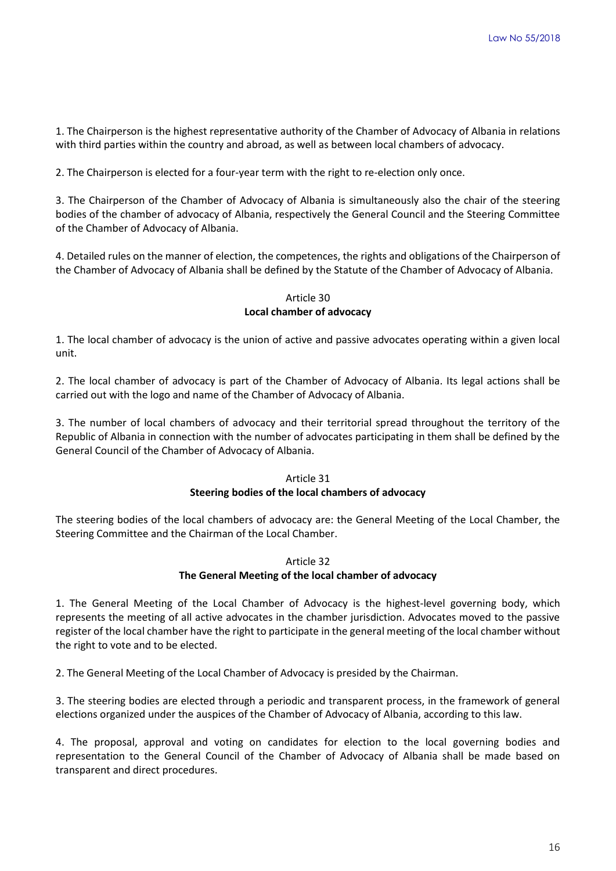1. The Chairperson is the highest representative authority of the Chamber of Advocacy of Albania in relations with third parties within the country and abroad, as well as between local chambers of advocacy.

2. The Chairperson is elected for a four-year term with the right to re-election only once.

3. The Chairperson of the Chamber of Advocacy of Albania is simultaneously also the chair of the steering bodies of the chamber of advocacy of Albania, respectively the General Council and the Steering Committee of the Chamber of Advocacy of Albania.

4. Detailed rules on the manner of election, the competences, the rights and obligations of the Chairperson of the Chamber of Advocacy of Albania shall be defined by the Statute of the Chamber of Advocacy of Albania.

### Article 30 **Local chamber of advocacy**

1. The local chamber of advocacy is the union of active and passive advocates operating within a given local unit.

2. The local chamber of advocacy is part of the Chamber of Advocacy of Albania. Its legal actions shall be carried out with the logo and name of the Chamber of Advocacy of Albania.

3. The number of local chambers of advocacy and their territorial spread throughout the territory of the Republic of Albania in connection with the number of advocates participating in them shall be defined by the General Council of the Chamber of Advocacy of Albania.

### Article 31

### **Steering bodies of the local chambers of advocacy**

The steering bodies of the local chambers of advocacy are: the General Meeting of the Local Chamber, the Steering Committee and the Chairman of the Local Chamber.

# Article 32

### **The General Meeting of the local chamber of advocacy**

1. The General Meeting of the Local Chamber of Advocacy is the highest-level governing body, which represents the meeting of all active advocates in the chamber jurisdiction. Advocates moved to the passive register of the local chamber have the right to participate in the general meeting of the local chamber without the right to vote and to be elected.

2. The General Meeting of the Local Chamber of Advocacy is presided by the Chairman.

3. The steering bodies are elected through a periodic and transparent process, in the framework of general elections organized under the auspices of the Chamber of Advocacy of Albania, according to this law.

4. The proposal, approval and voting on candidates for election to the local governing bodies and representation to the General Council of the Chamber of Advocacy of Albania shall be made based on transparent and direct procedures.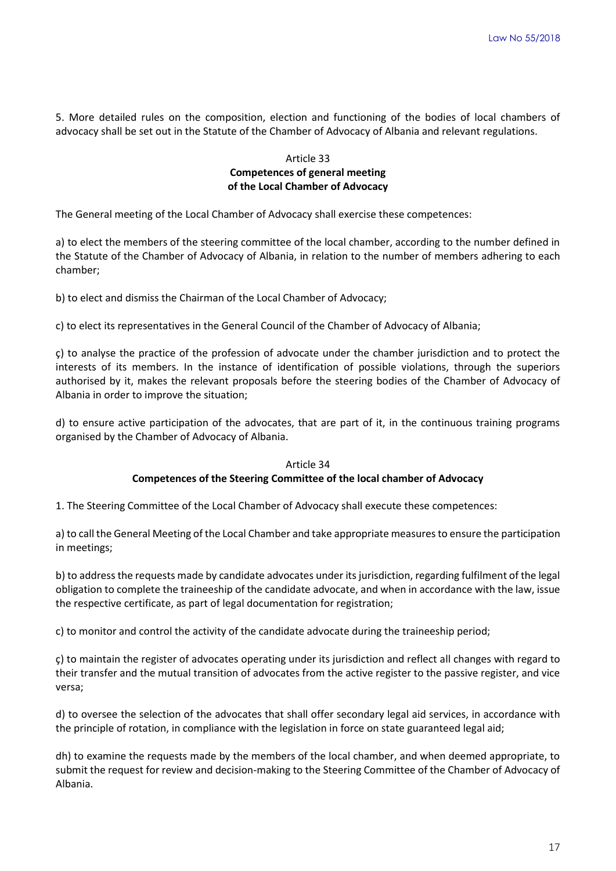5. More detailed rules on the composition, election and functioning of the bodies of local chambers of advocacy shall be set out in the Statute of the Chamber of Advocacy of Albania and relevant regulations.

### Article 33 **Competences of general meeting of the Local Chamber of Advocacy**

The General meeting of the Local Chamber of Advocacy shall exercise these competences:

a) to elect the members of the steering committee of the local chamber, according to the number defined in the Statute of the Chamber of Advocacy of Albania, in relation to the number of members adhering to each chamber;

b) to elect and dismiss the Chairman of the Local Chamber of Advocacy;

c) to elect its representatives in the General Council of the Chamber of Advocacy of Albania;

ç) to analyse the practice of the profession of advocate under the chamber jurisdiction and to protect the interests of its members. In the instance of identification of possible violations, through the superiors authorised by it, makes the relevant proposals before the steering bodies of the Chamber of Advocacy of Albania in order to improve the situation;

d) to ensure active participation of the advocates, that are part of it, in the continuous training programs organised by the Chamber of Advocacy of Albania.

#### Article 34

#### **Competences of the Steering Committee of the local chamber of Advocacy**

1. The Steering Committee of the Local Chamber of Advocacy shall execute these competences:

a) to call the General Meeting of the Local Chamber and take appropriate measures to ensure the participation in meetings;

b) to address the requests made by candidate advocates under its jurisdiction, regarding fulfilment of the legal obligation to complete the traineeship of the candidate advocate, and when in accordance with the law, issue the respective certificate, as part of legal documentation for registration;

c) to monitor and control the activity of the candidate advocate during the traineeship period;

ç) to maintain the register of advocates operating under its jurisdiction and reflect all changes with regard to their transfer and the mutual transition of advocates from the active register to the passive register, and vice versa;

d) to oversee the selection of the advocates that shall offer secondary legal aid services, in accordance with the principle of rotation, in compliance with the legislation in force on state guaranteed legal aid;

dh) to examine the requests made by the members of the local chamber, and when deemed appropriate, to submit the request for review and decision-making to the Steering Committee of the Chamber of Advocacy of Albania.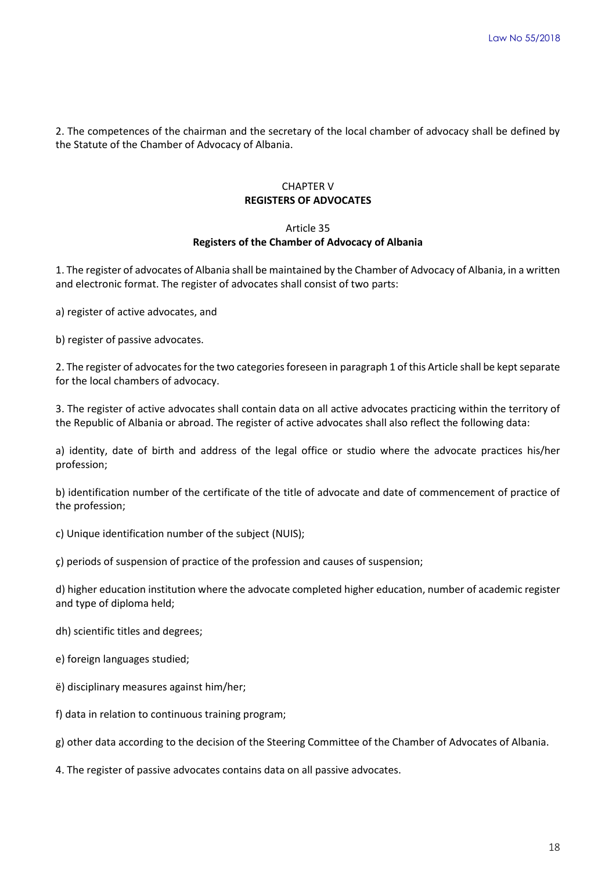2. The competences of the chairman and the secretary of the local chamber of advocacy shall be defined by the Statute of the Chamber of Advocacy of Albania.

# CHAPTER V **REGISTERS OF ADVOCATES**

#### Article 35

### **Registers of the Chamber of Advocacy of Albania**

1. The register of advocates of Albania shall be maintained by the Chamber of Advocacy of Albania, in a written and electronic format. The register of advocates shall consist of two parts:

a) register of active advocates, and

b) register of passive advocates.

2. The register of advocates for the two categories foreseen in paragraph 1 of this Article shall be kept separate for the local chambers of advocacy.

3. The register of active advocates shall contain data on all active advocates practicing within the territory of the Republic of Albania or abroad. The register of active advocates shall also reflect the following data:

a) identity, date of birth and address of the legal office or studio where the advocate practices his/her profession;

b) identification number of the certificate of the title of advocate and date of commencement of practice of the profession;

c) Unique identification number of the subject (NUIS);

ç) periods of suspension of practice of the profession and causes of suspension;

d) higher education institution where the advocate completed higher education, number of academic register and type of diploma held;

dh) scientific titles and degrees;

e) foreign languages studied;

- ë) disciplinary measures against him/her;
- f) data in relation to continuous training program;

g) other data according to the decision of the Steering Committee of the Chamber of Advocates of Albania.

4. The register of passive advocates contains data on all passive advocates.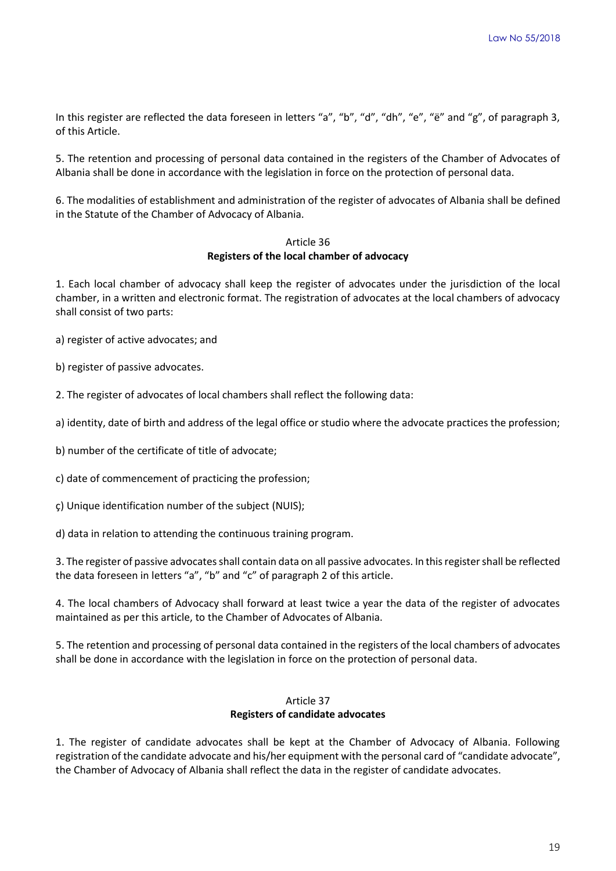In this register are reflected the data foreseen in letters "a", "b", "d", "dh", "e", "ë" and "g", of paragraph 3, of this Article.

5. The retention and processing of personal data contained in the registers of the Chamber of Advocates of Albania shall be done in accordance with the legislation in force on the protection of personal data.

6. The modalities of establishment and administration of the register of advocates of Albania shall be defined in the Statute of the Chamber of Advocacy of Albania.

## Article 36 **Registers of the local chamber of advocacy**

1. Each local chamber of advocacy shall keep the register of advocates under the jurisdiction of the local chamber, in a written and electronic format. The registration of advocates at the local chambers of advocacy shall consist of two parts:

a) register of active advocates; and

b) register of passive advocates.

2. The register of advocates of local chambers shall reflect the following data:

a) identity, date of birth and address of the legal office or studio where the advocate practices the profession;

b) number of the certificate of title of advocate;

c) date of commencement of practicing the profession;

ç) Unique identification number of the subject (NUIS);

d) data in relation to attending the continuous training program.

3. The register of passive advocates shall contain data on all passive advocates. In this register shall be reflected the data foreseen in letters "a", "b" and "c" of paragraph 2 of this article.

4. The local chambers of Advocacy shall forward at least twice a year the data of the register of advocates maintained as per this article, to the Chamber of Advocates of Albania.

5. The retention and processing of personal data contained in the registers of the local chambers of advocates shall be done in accordance with the legislation in force on the protection of personal data.

### Article 37 **Registers of candidate advocates**

1. The register of candidate advocates shall be kept at the Chamber of Advocacy of Albania. Following registration of the candidate advocate and his/her equipment with the personal card of "candidate advocate", the Chamber of Advocacy of Albania shall reflect the data in the register of candidate advocates.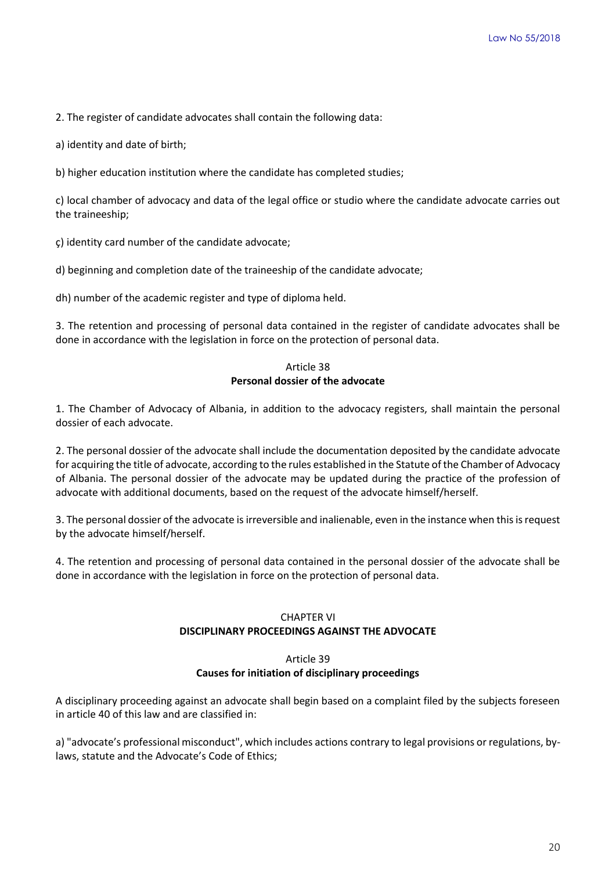2. The register of candidate advocates shall contain the following data:

a) identity and date of birth;

b) higher education institution where the candidate has completed studies;

c) local chamber of advocacy and data of the legal office or studio where the candidate advocate carries out the traineeship;

ç) identity card number of the candidate advocate;

d) beginning and completion date of the traineeship of the candidate advocate;

dh) number of the academic register and type of diploma held.

3. The retention and processing of personal data contained in the register of candidate advocates shall be done in accordance with the legislation in force on the protection of personal data.

# Article 38 **Personal dossier of the advocate**

1. The Chamber of Advocacy of Albania, in addition to the advocacy registers, shall maintain the personal dossier of each advocate.

2. The personal dossier of the advocate shall include the documentation deposited by the candidate advocate for acquiring the title of advocate, according to the rules established in the Statute of the Chamber of Advocacy of Albania. The personal dossier of the advocate may be updated during the practice of the profession of advocate with additional documents, based on the request of the advocate himself/herself.

3. The personal dossier of the advocate is irreversible and inalienable, even in the instance when this is request by the advocate himself/herself.

4. The retention and processing of personal data contained in the personal dossier of the advocate shall be done in accordance with the legislation in force on the protection of personal data.

# CHAPTER VI **DISCIPLINARY PROCEEDINGS AGAINST THE ADVOCATE**

#### Article 39

#### **Causes for initiation of disciplinary proceedings**

A disciplinary proceeding against an advocate shall begin based on a complaint filed by the subjects foreseen in article 40 of this law and are classified in:

a) "advocate's professional misconduct", which includes actions contrary to legal provisions or regulations, bylaws, statute and the Advocate's Code of Ethics;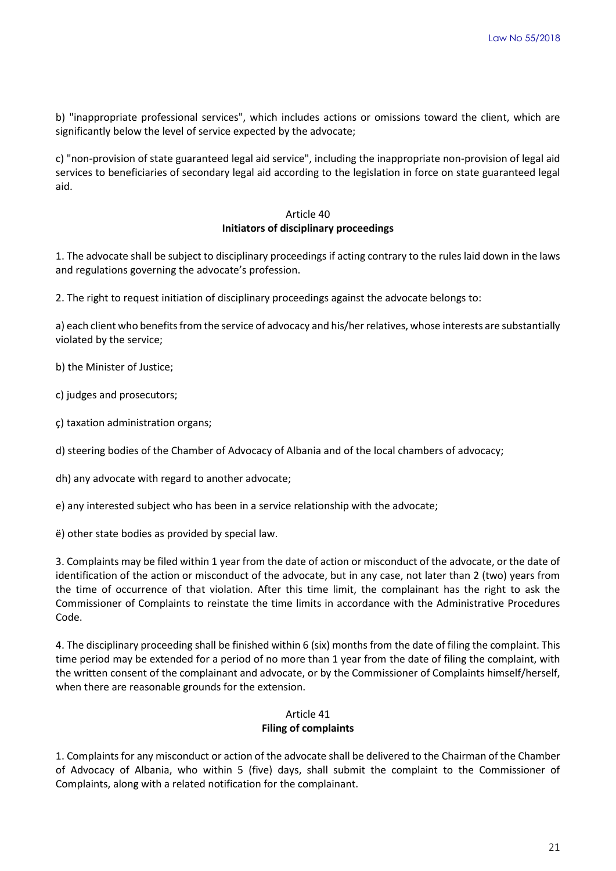b) "inappropriate professional services", which includes actions or omissions toward the client, which are significantly below the level of service expected by the advocate;

c) "non-provision of state guaranteed legal aid service", including the inappropriate non-provision of legal aid services to beneficiaries of secondary legal aid according to the legislation in force on state guaranteed legal aid.

# Article 40 **Initiators of disciplinary proceedings**

1. The advocate shall be subject to disciplinary proceedings if acting contrary to the rules laid down in the laws and regulations governing the advocate's profession.

2. The right to request initiation of disciplinary proceedings against the advocate belongs to:

a) each client who benefits from the service of advocacy and his/her relatives, whose interests are substantially violated by the service;

b) the Minister of Justice;

c) judges and prosecutors;

ç) taxation administration organs;

d) steering bodies of the Chamber of Advocacy of Albania and of the local chambers of advocacy;

dh) any advocate with regard to another advocate;

e) any interested subject who has been in a service relationship with the advocate;

ë) other state bodies as provided by special law.

3. Complaints may be filed within 1 year from the date of action or misconduct of the advocate, or the date of identification of the action or misconduct of the advocate, but in any case, not later than 2 (two) years from the time of occurrence of that violation. After this time limit, the complainant has the right to ask the Commissioner of Complaints to reinstate the time limits in accordance with the Administrative Procedures Code.

4. The disciplinary proceeding shall be finished within 6 (six) months from the date of filing the complaint. This time period may be extended for a period of no more than 1 year from the date of filing the complaint, with the written consent of the complainant and advocate, or by the Commissioner of Complaints himself/herself, when there are reasonable grounds for the extension.

### Article 41

### **Filing of complaints**

1. Complaints for any misconduct or action of the advocate shall be delivered to the Chairman of the Chamber of Advocacy of Albania, who within 5 (five) days, shall submit the complaint to the Commissioner of Complaints, along with a related notification for the complainant.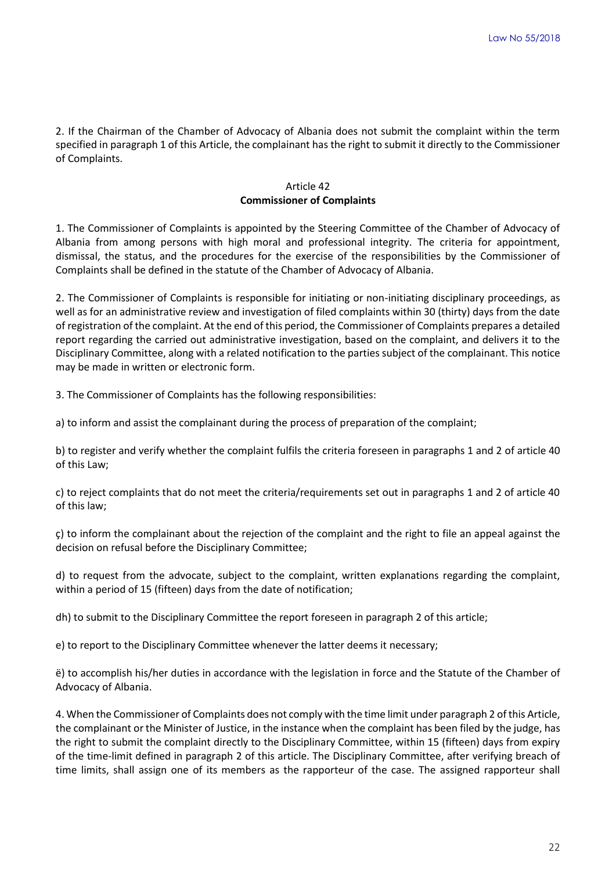2. If the Chairman of the Chamber of Advocacy of Albania does not submit the complaint within the term specified in paragraph 1 of this Article, the complainant has the right to submit it directly to the Commissioner of Complaints.

### Article 42 **Commissioner of Complaints**

1. The Commissioner of Complaints is appointed by the Steering Committee of the Chamber of Advocacy of Albania from among persons with high moral and professional integrity. The criteria for appointment, dismissal, the status, and the procedures for the exercise of the responsibilities by the Commissioner of Complaints shall be defined in the statute of the Chamber of Advocacy of Albania.

2. The Commissioner of Complaints is responsible for initiating or non-initiating disciplinary proceedings, as well as for an administrative review and investigation of filed complaints within 30 (thirty) days from the date of registration of the complaint. At the end of this period, the Commissioner of Complaints prepares a detailed report regarding the carried out administrative investigation, based on the complaint, and delivers it to the Disciplinary Committee, along with a related notification to the parties subject of the complainant. This notice may be made in written or electronic form.

3. The Commissioner of Complaints has the following responsibilities:

a) to inform and assist the complainant during the process of preparation of the complaint;

b) to register and verify whether the complaint fulfils the criteria foreseen in paragraphs 1 and 2 of article 40 of this Law;

c) to reject complaints that do not meet the criteria/requirements set out in paragraphs 1 and 2 of article 40 of this law;

ç) to inform the complainant about the rejection of the complaint and the right to file an appeal against the decision on refusal before the Disciplinary Committee;

d) to request from the advocate, subject to the complaint, written explanations regarding the complaint, within a period of 15 (fifteen) days from the date of notification;

dh) to submit to the Disciplinary Committee the report foreseen in paragraph 2 of this article;

e) to report to the Disciplinary Committee whenever the latter deems it necessary;

ë) to accomplish his/her duties in accordance with the legislation in force and the Statute of the Chamber of Advocacy of Albania.

4. When the Commissioner of Complaints does not comply with the time limit under paragraph 2 of this Article, the complainant or the Minister of Justice, in the instance when the complaint has been filed by the judge, has the right to submit the complaint directly to the Disciplinary Committee, within 15 (fifteen) days from expiry of the time-limit defined in paragraph 2 of this article. The Disciplinary Committee, after verifying breach of time limits, shall assign one of its members as the rapporteur of the case. The assigned rapporteur shall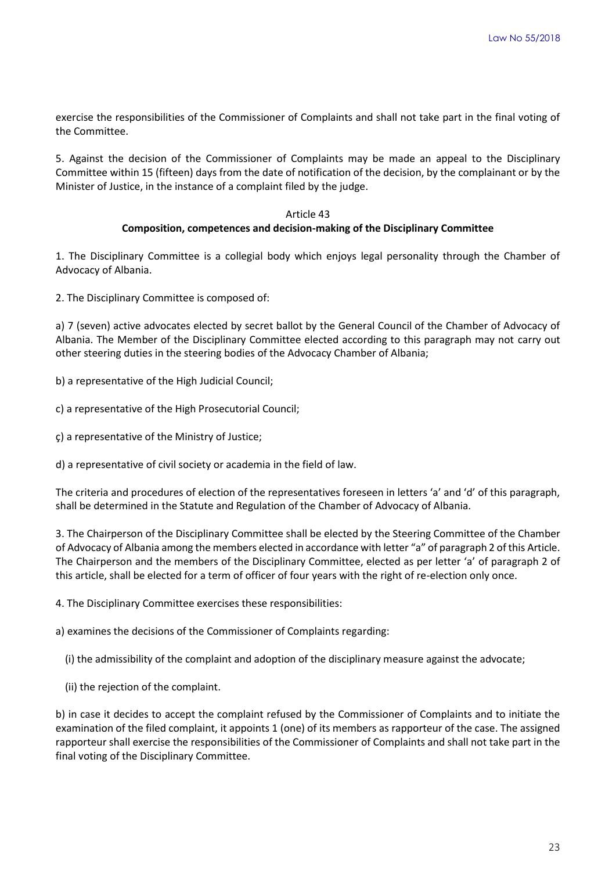exercise the responsibilities of the Commissioner of Complaints and shall not take part in the final voting of the Committee.

5. Against the decision of the Commissioner of Complaints may be made an appeal to the Disciplinary Committee within 15 (fifteen) days from the date of notification of the decision, by the complainant or by the Minister of Justice, in the instance of a complaint filed by the judge.

#### Article 43

#### **Composition, competences and decision-making of the Disciplinary Committee**

1. The Disciplinary Committee is a collegial body which enjoys legal personality through the Chamber of Advocacy of Albania.

2. The Disciplinary Committee is composed of:

a) 7 (seven) active advocates elected by secret ballot by the General Council of the Chamber of Advocacy of Albania. The Member of the Disciplinary Committee elected according to this paragraph may not carry out other steering duties in the steering bodies of the Advocacy Chamber of Albania;

- b) a representative of the High Judicial Council;
- c) a representative of the High Prosecutorial Council;
- ç) a representative of the Ministry of Justice;
- d) a representative of civil society or academia in the field of law.

The criteria and procedures of election of the representatives foreseen in letters 'a' and 'd' of this paragraph, shall be determined in the Statute and Regulation of the Chamber of Advocacy of Albania.

3. The Chairperson of the Disciplinary Committee shall be elected by the Steering Committee of the Chamber of Advocacy of Albania among the members elected in accordance with letter "a" of paragraph 2 of this Article. The Chairperson and the members of the Disciplinary Committee, elected as per letter 'a' of paragraph 2 of this article, shall be elected for a term of officer of four years with the right of re-election only once.

4. The Disciplinary Committee exercises these responsibilities:

a) examines the decisions of the Commissioner of Complaints regarding:

- (i) the admissibility of the complaint and adoption of the disciplinary measure against the advocate;
- (ii) the rejection of the complaint.

b) in case it decides to accept the complaint refused by the Commissioner of Complaints and to initiate the examination of the filed complaint, it appoints 1 (one) of its members as rapporteur of the case. The assigned rapporteur shall exercise the responsibilities of the Commissioner of Complaints and shall not take part in the final voting of the Disciplinary Committee.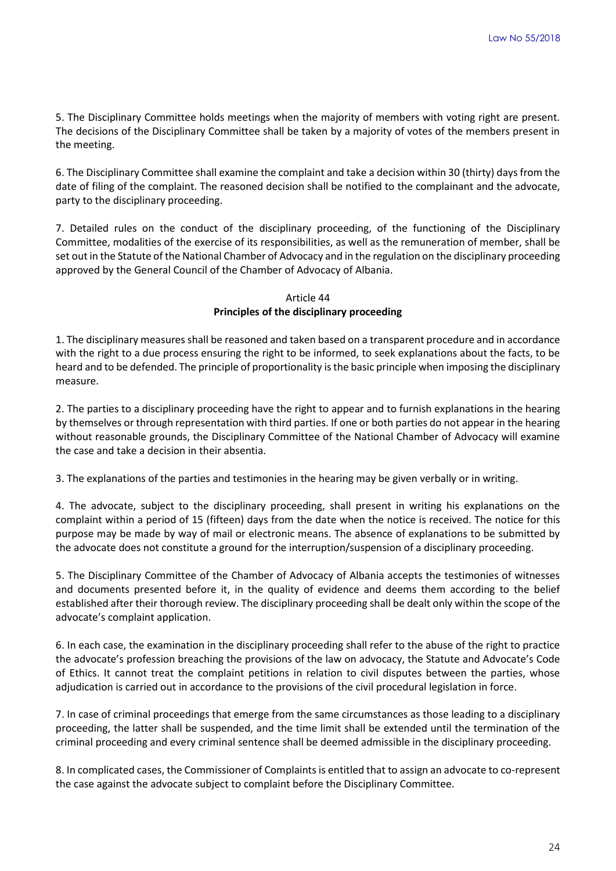5. The Disciplinary Committee holds meetings when the majority of members with voting right are present. The decisions of the Disciplinary Committee shall be taken by a majority of votes of the members present in the meeting.

6. The Disciplinary Committee shall examine the complaint and take a decision within 30 (thirty) days from the date of filing of the complaint. The reasoned decision shall be notified to the complainant and the advocate, party to the disciplinary proceeding.

7. Detailed rules on the conduct of the disciplinary proceeding, of the functioning of the Disciplinary Committee, modalities of the exercise of its responsibilities, as well as the remuneration of member, shall be set out in the Statute of the National Chamber of Advocacy and in the regulation on the disciplinary proceeding approved by the General Council of the Chamber of Advocacy of Albania.

# Article 44 **Principles of the disciplinary proceeding**

1. The disciplinary measures shall be reasoned and taken based on a transparent procedure and in accordance with the right to a due process ensuring the right to be informed, to seek explanations about the facts, to be heard and to be defended. The principle of proportionality is the basic principle when imposing the disciplinary measure.

2. The parties to a disciplinary proceeding have the right to appear and to furnish explanations in the hearing by themselves or through representation with third parties. If one or both parties do not appear in the hearing without reasonable grounds, the Disciplinary Committee of the National Chamber of Advocacy will examine the case and take a decision in their absentia.

3. The explanations of the parties and testimonies in the hearing may be given verbally or in writing.

4. The advocate, subject to the disciplinary proceeding, shall present in writing his explanations on the complaint within a period of 15 (fifteen) days from the date when the notice is received. The notice for this purpose may be made by way of mail or electronic means. The absence of explanations to be submitted by the advocate does not constitute a ground for the interruption/suspension of a disciplinary proceeding.

5. The Disciplinary Committee of the Chamber of Advocacy of Albania accepts the testimonies of witnesses and documents presented before it, in the quality of evidence and deems them according to the belief established after their thorough review. The disciplinary proceeding shall be dealt only within the scope of the advocate's complaint application.

6. In each case, the examination in the disciplinary proceeding shall refer to the abuse of the right to practice the advocate's profession breaching the provisions of the law on advocacy, the Statute and Advocate's Code of Ethics. It cannot treat the complaint petitions in relation to civil disputes between the parties, whose adjudication is carried out in accordance to the provisions of the civil procedural legislation in force.

7. In case of criminal proceedings that emerge from the same circumstances as those leading to a disciplinary proceeding, the latter shall be suspended, and the time limit shall be extended until the termination of the criminal proceeding and every criminal sentence shall be deemed admissible in the disciplinary proceeding.

8. In complicated cases, the Commissioner of Complaints is entitled that to assign an advocate to co-represent the case against the advocate subject to complaint before the Disciplinary Committee.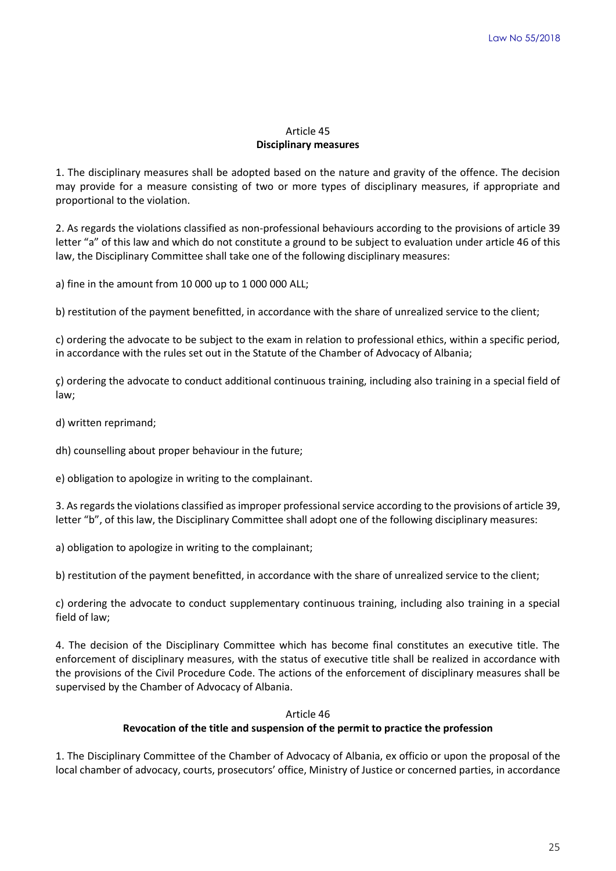# Article 45 **Disciplinary measures**

1. The disciplinary measures shall be adopted based on the nature and gravity of the offence. The decision may provide for a measure consisting of two or more types of disciplinary measures, if appropriate and proportional to the violation.

2. As regards the violations classified as non-professional behaviours according to the provisions of article 39 letter "a" of this law and which do not constitute a ground to be subject to evaluation under article 46 of this law, the Disciplinary Committee shall take one of the following disciplinary measures:

a) fine in the amount from 10 000 up to 1 000 000 ALL;

b) restitution of the payment benefitted, in accordance with the share of unrealized service to the client;

c) ordering the advocate to be subject to the exam in relation to professional ethics, within a specific period, in accordance with the rules set out in the Statute of the Chamber of Advocacy of Albania;

ç) ordering the advocate to conduct additional continuous training, including also training in a special field of law;

d) written reprimand;

dh) counselling about proper behaviour in the future;

e) obligation to apologize in writing to the complainant.

3. As regards the violations classified as improper professional service according to the provisions of article 39, letter "b", of this law, the Disciplinary Committee shall adopt one of the following disciplinary measures:

a) obligation to apologize in writing to the complainant;

b) restitution of the payment benefitted, in accordance with the share of unrealized service to the client;

c) ordering the advocate to conduct supplementary continuous training, including also training in a special field of law;

4. The decision of the Disciplinary Committee which has become final constitutes an executive title. The enforcement of disciplinary measures, with the status of executive title shall be realized in accordance with the provisions of the Civil Procedure Code. The actions of the enforcement of disciplinary measures shall be supervised by the Chamber of Advocacy of Albania.

### Article 46

### **Revocation of the title and suspension of the permit to practice the profession**

1. The Disciplinary Committee of the Chamber of Advocacy of Albania, ex officio or upon the proposal of the local chamber of advocacy, courts, prosecutors' office, Ministry of Justice or concerned parties, in accordance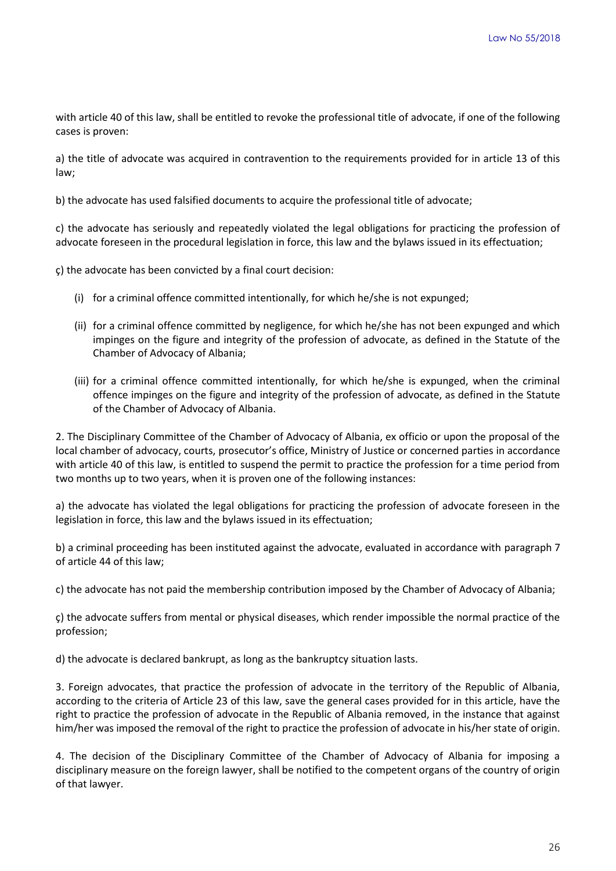with article 40 of this law, shall be entitled to revoke the professional title of advocate, if one of the following cases is proven:

a) the title of advocate was acquired in contravention to the requirements provided for in article 13 of this law;

b) the advocate has used falsified documents to acquire the professional title of advocate;

c) the advocate has seriously and repeatedly violated the legal obligations for practicing the profession of advocate foreseen in the procedural legislation in force, this law and the bylaws issued in its effectuation;

ç) the advocate has been convicted by a final court decision:

- (i) for a criminal offence committed intentionally, for which he/she is not expunged;
- (ii) for a criminal offence committed by negligence, for which he/she has not been expunged and which impinges on the figure and integrity of the profession of advocate, as defined in the Statute of the Chamber of Advocacy of Albania;
- (iii) for a criminal offence committed intentionally, for which he/she is expunged, when the criminal offence impinges on the figure and integrity of the profession of advocate, as defined in the Statute of the Chamber of Advocacy of Albania.

2. The Disciplinary Committee of the Chamber of Advocacy of Albania, ex officio or upon the proposal of the local chamber of advocacy, courts, prosecutor's office, Ministry of Justice or concerned parties in accordance with article 40 of this law, is entitled to suspend the permit to practice the profession for a time period from two months up to two years, when it is proven one of the following instances:

a) the advocate has violated the legal obligations for practicing the profession of advocate foreseen in the legislation in force, this law and the bylaws issued in its effectuation;

b) a criminal proceeding has been instituted against the advocate, evaluated in accordance with paragraph 7 of article 44 of this law;

c) the advocate has not paid the membership contribution imposed by the Chamber of Advocacy of Albania;

ç) the advocate suffers from mental or physical diseases, which render impossible the normal practice of the profession;

d) the advocate is declared bankrupt, as long as the bankruptcy situation lasts.

3. Foreign advocates, that practice the profession of advocate in the territory of the Republic of Albania, according to the criteria of Article 23 of this law, save the general cases provided for in this article, have the right to practice the profession of advocate in the Republic of Albania removed, in the instance that against him/her was imposed the removal of the right to practice the profession of advocate in his/her state of origin.

4. The decision of the Disciplinary Committee of the Chamber of Advocacy of Albania for imposing a disciplinary measure on the foreign lawyer, shall be notified to the competent organs of the country of origin of that lawyer.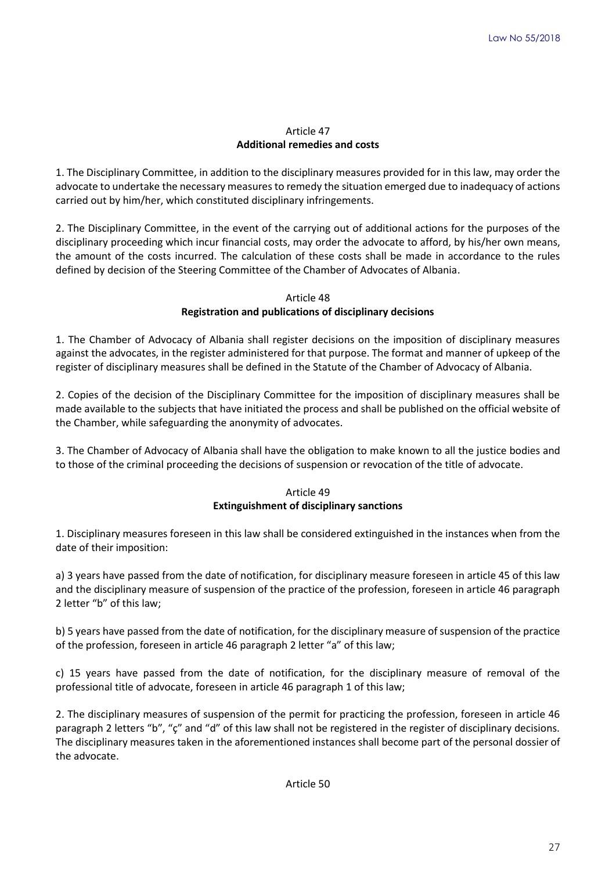# Article 47 **Additional remedies and costs**

1. The Disciplinary Committee, in addition to the disciplinary measures provided for in this law, may order the advocate to undertake the necessary measures to remedy the situation emerged due to inadequacy of actions carried out by him/her, which constituted disciplinary infringements.

2. The Disciplinary Committee, in the event of the carrying out of additional actions for the purposes of the disciplinary proceeding which incur financial costs, may order the advocate to afford, by his/her own means, the amount of the costs incurred. The calculation of these costs shall be made in accordance to the rules defined by decision of the Steering Committee of the Chamber of Advocates of Albania.

# Article 48

# **Registration and publications of disciplinary decisions**

1. The Chamber of Advocacy of Albania shall register decisions on the imposition of disciplinary measures against the advocates, in the register administered for that purpose. The format and manner of upkeep of the register of disciplinary measures shall be defined in the Statute of the Chamber of Advocacy of Albania.

2. Copies of the decision of the Disciplinary Committee for the imposition of disciplinary measures shall be made available to the subjects that have initiated the process and shall be published on the official website of the Chamber, while safeguarding the anonymity of advocates.

3. The Chamber of Advocacy of Albania shall have the obligation to make known to all the justice bodies and to those of the criminal proceeding the decisions of suspension or revocation of the title of advocate.

# Article 49 **Extinguishment of disciplinary sanctions**

1. Disciplinary measures foreseen in this law shall be considered extinguished in the instances when from the date of their imposition:

a) 3 years have passed from the date of notification, for disciplinary measure foreseen in article 45 of this law and the disciplinary measure of suspension of the practice of the profession, foreseen in article 46 paragraph 2 letter "b" of this law;

b) 5 years have passed from the date of notification, for the disciplinary measure of suspension of the practice of the profession, foreseen in article 46 paragraph 2 letter "a" of this law;

c) 15 years have passed from the date of notification, for the disciplinary measure of removal of the professional title of advocate, foreseen in article 46 paragraph 1 of this law;

2. The disciplinary measures of suspension of the permit for practicing the profession, foreseen in article 46 paragraph 2 letters "b", "ç" and "d" of this law shall not be registered in the register of disciplinary decisions. The disciplinary measures taken in the aforementioned instances shall become part of the personal dossier of the advocate.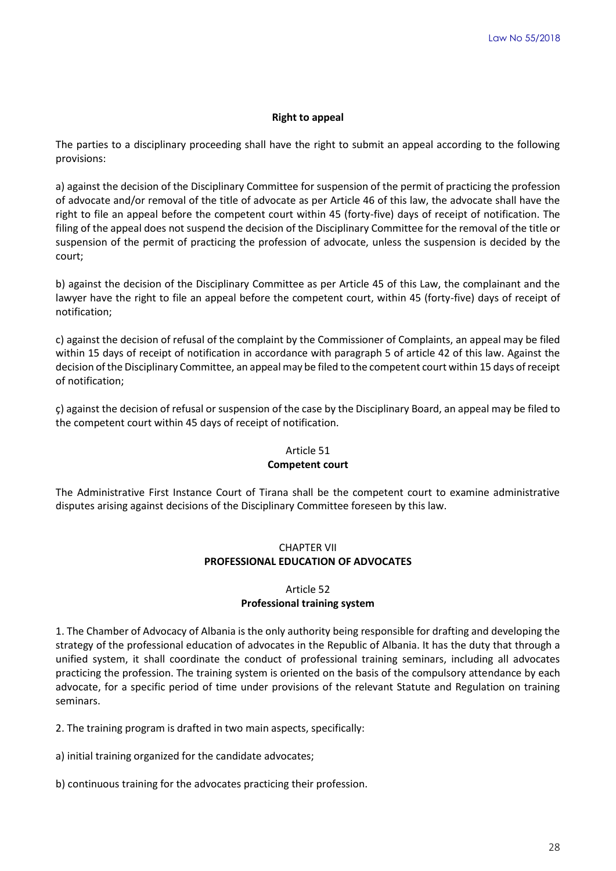#### **Right to appeal**

The parties to a disciplinary proceeding shall have the right to submit an appeal according to the following provisions:

a) against the decision of the Disciplinary Committee for suspension of the permit of practicing the profession of advocate and/or removal of the title of advocate as per Article 46 of this law, the advocate shall have the right to file an appeal before the competent court within 45 (forty-five) days of receipt of notification. The filing of the appeal does not suspend the decision of the Disciplinary Committee for the removal of the title or suspension of the permit of practicing the profession of advocate, unless the suspension is decided by the court;

b) against the decision of the Disciplinary Committee as per Article 45 of this Law, the complainant and the lawyer have the right to file an appeal before the competent court, within 45 (forty-five) days of receipt of notification;

c) against the decision of refusal of the complaint by the Commissioner of Complaints, an appeal may be filed within 15 days of receipt of notification in accordance with paragraph 5 of article 42 of this law. Against the decision of the Disciplinary Committee, an appeal may be filed to the competent court within 15 days of receipt of notification;

ç) against the decision of refusal or suspension of the case by the Disciplinary Board, an appeal may be filed to the competent court within 45 days of receipt of notification.

#### Article 51

#### **Competent court**

The Administrative First Instance Court of Tirana shall be the competent court to examine administrative disputes arising against decisions of the Disciplinary Committee foreseen by this law.

# CHAPTER VII **PROFESSIONAL EDUCATION OF ADVOCATES**

### Article 52 **Professional training system**

1. The Chamber of Advocacy of Albania is the only authority being responsible for drafting and developing the strategy of the professional education of advocates in the Republic of Albania. It has the duty that through a unified system, it shall coordinate the conduct of professional training seminars, including all advocates practicing the profession. The training system is oriented on the basis of the compulsory attendance by each advocate, for a specific period of time under provisions of the relevant Statute and Regulation on training seminars.

2. The training program is drafted in two main aspects, specifically:

a) initial training organized for the candidate advocates;

b) continuous training for the advocates practicing their profession.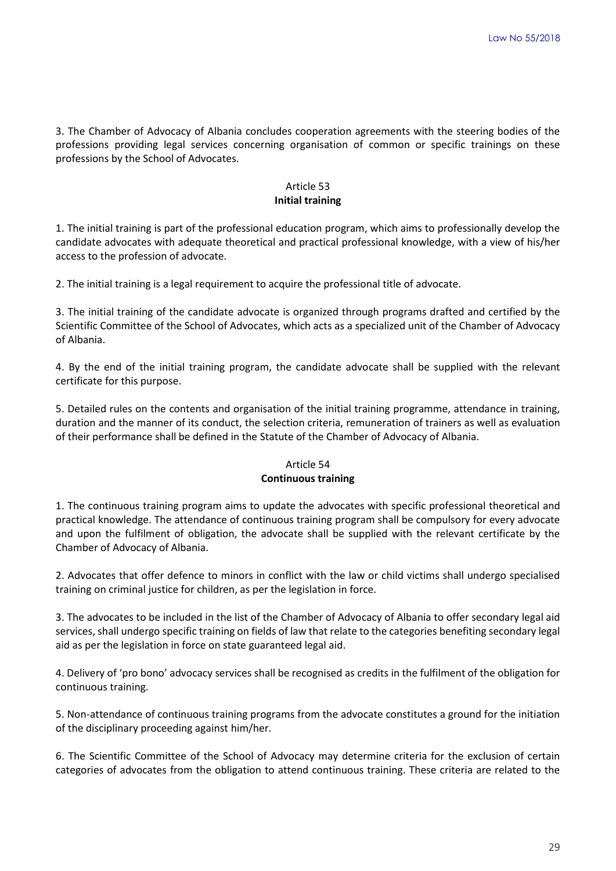3. The Chamber of Advocacy of Albania concludes cooperation agreements with the steering bodies of the professions providing legal services concerning organisation of common or specific trainings on these professions by the School of Advocates.

# Article 53 **Initial training**

1. The initial training is part of the professional education program, which aims to professionally develop the candidate advocates with adequate theoretical and practical professional knowledge, with a view of his/her access to the profession of advocate.

2. The initial training is a legal requirement to acquire the professional title of advocate.

3. The initial training of the candidate advocate is organized through programs drafted and certified by the Scientific Committee of the School of Advocates, which acts as a specialized unit of the Chamber of Advocacy of Albania.

4. By the end of the initial training program, the candidate advocate shall be supplied with the relevant certificate for this purpose.

5. Detailed rules on the contents and organisation of the initial training programme, attendance in training, duration and the manner of its conduct, the selection criteria, remuneration of trainers as well as evaluation of their performance shall be defined in the Statute of the Chamber of Advocacy of Albania.

### Article 54 **Continuous training**

1. The continuous training program aims to update the advocates with specific professional theoretical and practical knowledge. The attendance of continuous training program shall be compulsory for every advocate and upon the fulfilment of obligation, the advocate shall be supplied with the relevant certificate by the Chamber of Advocacy of Albania.

2. Advocates that offer defence to minors in conflict with the law or child victims shall undergo specialised training on criminal justice for children, as per the legislation in force.

3. The advocates to be included in the list of the Chamber of Advocacy of Albania to offer secondary legal aid services, shall undergo specific training on fields of law that relate to the categories benefiting secondary legal aid as per the legislation in force on state guaranteed legal aid.

4. Delivery of 'pro bono' advocacy services shall be recognised as credits in the fulfilment of the obligation for continuous training.

5. Non-attendance of continuous training programs from the advocate constitutes a ground for the initiation of the disciplinary proceeding against him/her.

6. The Scientific Committee of the School of Advocacy may determine criteria for the exclusion of certain categories of advocates from the obligation to attend continuous training. These criteria are related to the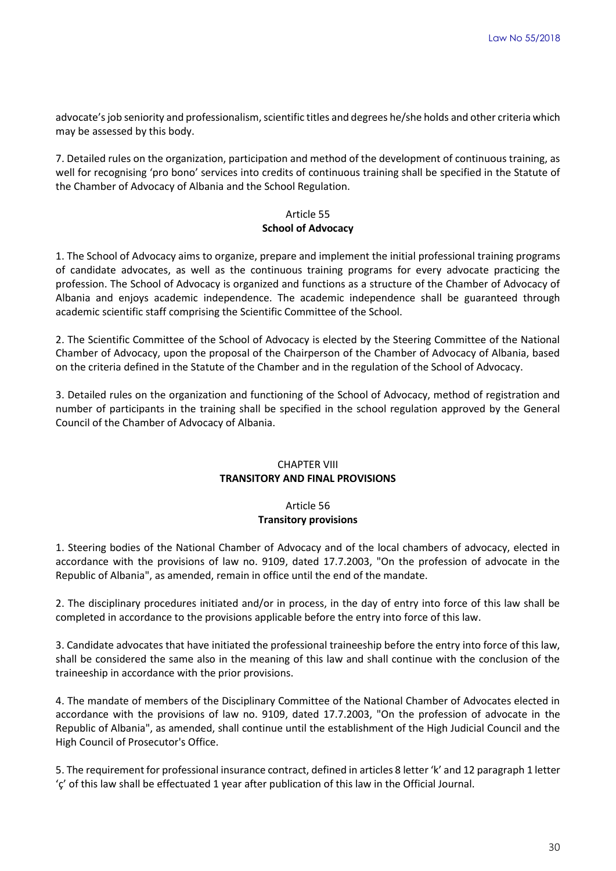advocate's job seniority and professionalism, scientific titles and degrees he/she holds and other criteria which may be assessed by this body.

7. Detailed rules on the organization, participation and method of the development of continuous training, as well for recognising 'pro bono' services into credits of continuous training shall be specified in the Statute of the Chamber of Advocacy of Albania and the School Regulation.

# Article 55 **School of Advocacy**

1. The School of Advocacy aims to organize, prepare and implement the initial professional training programs of candidate advocates, as well as the continuous training programs for every advocate practicing the profession. The School of Advocacy is organized and functions as a structure of the Chamber of Advocacy of Albania and enjoys academic independence. The academic independence shall be guaranteed through academic scientific staff comprising the Scientific Committee of the School.

2. The Scientific Committee of the School of Advocacy is elected by the Steering Committee of the National Chamber of Advocacy, upon the proposal of the Chairperson of the Chamber of Advocacy of Albania, based on the criteria defined in the Statute of the Chamber and in the regulation of the School of Advocacy.

3. Detailed rules on the organization and functioning of the School of Advocacy, method of registration and number of participants in the training shall be specified in the school regulation approved by the General Council of the Chamber of Advocacy of Albania.

# CHAPTER VIII **TRANSITORY AND FINAL PROVISIONS**

# Article 56 **Transitory provisions**

1. Steering bodies of the National Chamber of Advocacy and of the local chambers of advocacy, elected in accordance with the provisions of law no. 9109, dated 17.7.2003, "On the profession of advocate in the Republic of Albania", as amended, remain in office until the end of the mandate.

2. The disciplinary procedures initiated and/or in process, in the day of entry into force of this law shall be completed in accordance to the provisions applicable before the entry into force of this law.

3. Candidate advocates that have initiated the professional traineeship before the entry into force of this law, shall be considered the same also in the meaning of this law and shall continue with the conclusion of the traineeship in accordance with the prior provisions.

4. The mandate of members of the Disciplinary Committee of the National Chamber of Advocates elected in accordance with the provisions of law no. 9109, dated 17.7.2003, "On the profession of advocate in the Republic of Albania", as amended, shall continue until the establishment of the High Judicial Council and the High Council of Prosecutor's Office.

5. The requirement for professional insurance contract, defined in articles 8 letter 'k' and 12 paragraph 1 letter 'ç' of this law shall be effectuated 1 year after publication of this law in the Official Journal.